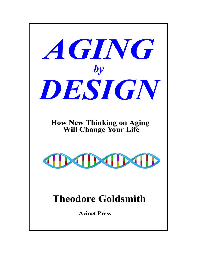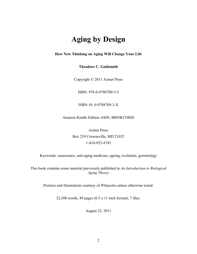# **Aging by Design**

### **How New Thinking on Aging Will Change Your Life**

### **Theodore C. Goldsmith**

Copyright © 2011 Azinet Press

ISBN: 978-0-9788709-3-5

ISBN-10: 0-9788709-3-X

Amazon Kindle Edition ASIN: B005KCO8SS

Azinet Press Box 239 Crownsville, MD 21032 1-410-923-4745

Keywords: senescence, anti-aging medicine, ageing, evolution, gerontology

This book contains some material previously published in *An Introduction to Biological Aging Theory* 

Pictures and illustrations courtesy of *Wikipedia* unless otherwise noted.

22,500 words, 49 pages (8.5 x 11 inch format), 7 illus.

August 22, 2011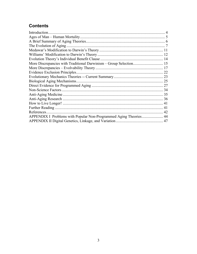### **Contents**

| Introduction                           |    |
|----------------------------------------|----|
|                                        |    |
|                                        |    |
| The Evolution of Aging                 |    |
|                                        |    |
|                                        |    |
|                                        |    |
|                                        |    |
|                                        |    |
| <b>Evidence Exclusion Principles</b> . | 22 |
|                                        |    |
| Biological Aging Mechanisms            |    |
|                                        |    |
|                                        |    |
|                                        |    |
|                                        |    |
|                                        |    |
|                                        | 41 |
| References.                            | 42 |
|                                        |    |
|                                        | 47 |
|                                        |    |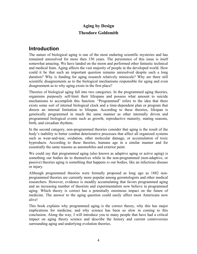## **Aging by Design Theodore Goldsmith**

### <span id="page-3-0"></span>**Introduction**

The nature of biological aging is one of the most enduring scientific mysteries and has remained unresolved for more then 150 years. The persistence of this issue is itself somewhat amazing. We have landed on the moon and performed other fantastic technical and medical feats. Aging affects the vast majority of people in the developed world. How could it be that such an important question remains unresolved despite such a long duration? Why is funding for aging research relatively miniscule? Why are there still scientific disagreements as to the biological mechanisms responsible for aging and even disagreement as to why aging exists in the first place?

Theories of biological aging fall into two categories. In the programmed aging theories, organisms purposely self-limit their lifespans and possess what amount to suicide mechanisms to accomplish this function. "Programmed" refers to the idea that there exists some sort of internal biological clock and a time-dependent plan or program that directs an internal limitation to lifespan. According to these theories, lifespan is genetically programmed in much the same manner as other internally driven and programmed biological events such as growth, reproductive maturity, mating seasons, birth, and circadian rhythms.

In the second category, non-programmed theories consider that aging is the result of the body's inability to better combat deteriorative processes that affect all organized systems such as wear-and-tear, oxidation, other molecular damage, or accumulation of toxic byproducts. According to these theories, humans age in a similar manner and for essentially the same reasons as automobiles and exterior paint.

We could say that programmed aging (also known as adaptive aging or active aging) is something our bodies do to themselves while in the non-programmed (non-adaptive, or passive) theories aging is something that happens *to* our bodies, like an infectious disease or injury.

Although programmed theories were formally proposed as long ago as 1882 nonprogrammed theories are currently more popular among gerontologists and other medical researchers. However, evidence is steadily accumulating that favors programmed aging and an increasing number of theorists and experimentalists now believe in programmed aging. Which theory is correct has a potentially enormous impact on the future of medicine. The answer to the aging question could easily affect most Americans now alive!

This book explains why programmed aging is the correct theory, why this has major implications for medicine, and why science has been so slow in coming to this conclusion. Along the way, I will introduce you to many people that have had a critical impact on aging theory science and describe the history and current controversies surrounding aging and underlying evolution theories.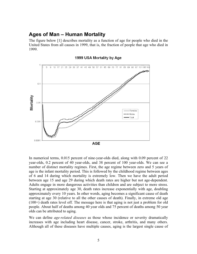### <span id="page-4-0"></span>**Ages of Man – Human Mortality**

The figure below [1] describes mortality as a function of age for people who died in the United States from all causes in 1999, that is, the fraction of people that age who died in 1999.

#### 1999 USA Mortality by Age



In numerical terms, 0.015 percent of nine-year-olds died, along with 0.09 percent of 22 year-olds, 0.2 percent of 40 year-olds, and 38 percent of 100 year-olds. We can see a number of distinct mortality regimes. First, the age regime between zero and 5 years of age is the infant mortality period. This is followed by the childhood regime between ages of 6 and 14 during which mortality is extremely low. Then we have the adult period between age 15 and age 29 during which death rates are higher but not age-dependent. Adults engage in more dangerous activities than children and are subject to more stress. Starting at approximately age 30, death rates increase exponentially with age, doubling approximately every 10 years. In other words, aging becomes a significant cause of death starting at age 30 (relative to all the other causes of death). Finally, in extreme old age (100+) death rates level off. The message here is that aging is not just a problem for old people. About half of deaths among 40 year olds and 75 percent of deaths among 50 year olds can be attributed to aging.

We can define *age-related diseases* as those whose incidence or severity dramatically increases with age including heart disease, cancer, stroke, arthritis, and many others. Although all of these diseases have multiple causes, aging is the largest single cause of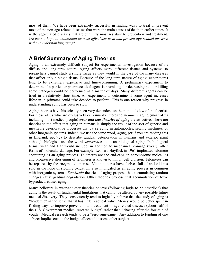<span id="page-5-0"></span>most of them. We have been extremely successful in finding ways to treat or prevent most of the non-age-related diseases that were the main causes of death in earlier times. It is the age-related diseases that are currently most resistant to prevention and treatment. *We cannot hope to understand or most effectively treat and prevent age-related diseases without understanding aging!*

## **A Brief Summary of Aging Theories**

Aging is an extremely difficult subject for experimental investigation because of its diffuse and long-term nature. Aging affects many different tissues and systems so researchers cannot study a single tissue as they would in the case of the many diseases that affect only a single tissue. Because of the long-term nature of aging, experiments tend to be extremely expensive and time-consuming. A preliminary experiment to determine if a particular pharmaceutical agent is promising for decreasing pain or killing some pathogen could be performed in a matter of days. Many different agents can be tried in a relatively short time. An experiment to determine if some agent increases lifespan in primates could take decades to perform. This is one reason why progress in understanding aging has been so slow.

Aging theories have historically been very dependent on the point of view of the theorist. For those of us who are exclusively or primarily interested in *human* aging (most of us including most medical people) *wear and tear theories of aging* are attractive. These are theories to the effect that aging in humans is simply the result of the sort of generic and inevitable deteriorative processes that cause aging in automobiles, sewing machines, or other inorganic systems. Indeed, we use the same word, *aging*, (or if you are reading this in England, *ageing*) to describe gradual deterioration in humans and exterior paint although biologists use the word *senescence* to mean biological aging. In biological terms, wear and tear would include, in addition to mechanical damage (wear), other forms of molecular damage. For example, Leonard Hayflick in 1961 implicated telomere shortening as an aging process. Telomeres are the end-caps on chromosome molecules and progressive shortening of telomeres is known to inhibit cell division. Telomeres can be repaired by the enzyme telomerase. Vitamin stores have shelves full of antioxidants sold in the hope of slowing oxidation, also implicated as an aging process in common with inorganic systems. *Stochastic* theories of aging propose that accumulating random changes cause gradual degradation. Other theories propose that accumulation of toxic byproducts causes aging.

Many believers in wear-and-tear theories believe (following logic to be described) that aging is the result of fundamental limitations that cannot be altered by any possible future medical discovery. They consequently tend to logically believe that the study of aging is "academic" in the sense that it has little practical value. Money would be better spent in finding ways to improve prevention and treatment of age-related diseases (about half of the U.S. Government medical research budget) rather than "chasing after the fountain of youth." Medical research tends to be a "zero-sum-game." Any addition to funding of one subject implies cuts to the budget allocated to some other subject.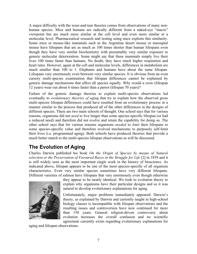<span id="page-6-0"></span>A major difficulty with the wear-and-tear theories comes from observations of many nonhuman species. Mice and humans are radically different from a naked-eye "macro" viewpoint but are much more similar at the cell level and even more similar at a molecular level. Pharmaceutical research and testing using mice exploits this similarity. Some mice or mouse-like mammals such as the Argentine desert mouse or marsupial mouse have lifespans that are as much as 100 times shorter than human lifespans even though they have very similar biochemistry with presumably very similar exposure to generic molecular deterioration. Some might say that these mammals simply live their lives 100 times faster than humans. No doubt, they have much higher respiration and heart rates. However, again at the cell and molecular levels, differences in metabolism are much smaller than 100 to 1. Elephants and humans have about the same lifespan. Lifespans vary enormously even between very similar species. It is obvious from an even cursory multi-species examination that lifespan differences cannot be explained by generic damage mechanisms that affect all species equally. Why would a crow (lifespan 12 years) wear out about 6 times faster than a parrot (lifespan 70 years)?

Failure of the generic damage theories to explain multi-species observations led eventually to *evolutionary theories of aging* that try to explain how the observed gross multi-species lifespan differences could have resulted from an evolutionary process in a manner similar to the process that produced all of the other differences in the designs of different species. There are two main schools of thought. One school says that for various reasons, organisms did not *need* to live longer than some species-specific lifespan (or had a reduced need) and therefore did not evolve and retain the capability for doing so. The other school says that for various reasons organisms *needed* to *limit* their lifespans to some species-specific value and therefore evolved mechanisms to purposely self-limit their lives (i.e. programmed aging). Both schools have produced theories that provide a much better match to the multi-species lifespan observations as will be discussed.

## **The Evolution of Aging**

Charles Darwin published his book *On the Origin of Species by means of Natural selection or the Preservation of Favoured Races in the Struggle for Life* [2] in 1859 and it is still widely seen as the most important single work in the history of bioscience. As indicated above, lifespan appears to be one of the most species-specific of all organism characteristics. Even very similar species sometimes have very different lifespans. Different varieties of salmon have lifespans that vary enormously even though otherwise



they appear to be nearly identical. We look to evolution theory to explain why organisms have their particular designs and so it was natural to develop evolutionary explanations for aging.

Unfortunately, major problems immediately appeared. Darwin's theory, as explained by Darwin and currently taught in high-school biology classes is incompatible with lifespan observations and the resulting issues and controversies have now continued for more than 150 years. General religion-driven controversy about evolution increases the overall confusion and no scientific

agreement currently exists regarding evolutionary explanations for aging and lifespan observations.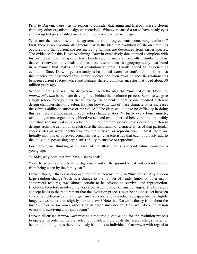Prior to Darwin, there was no reason to consider that aging and lifespan were different from any other organism design characteristic. Whatever caused a rat to have beady eyes and a long tail presumably also caused it to have a particular lifespan.

What are the current scientific agreements and disagreements concerning evolution? First, there is no *scientific* disagreement with the idea that evolution of life on Earth has occurred and that current species including humans are descended from earlier species. The evidence for this is overwhelming. Darwin extensively documented (complete with his own drawings) that species have family resemblances to each other similar to those that exist between individuals and that these resemblances are geographically distributed in a manner that makes logical evolutionary sense. Fossils added to evidence of evolution. Since Darwin, genetic analysis has added extensive confirmation of the idea that species are descended from earlier species and even revealed specific relationships between current species. Mice and humans share a common ancestor that lived about 30 million years ago.

Second, there is no scientific disagreement with the idea that "survival of the fittest" or *natural selection* is the main driving force behind the evolution process. Suppose we give a high school biology class the following assignment: "Identify one hundred different design characteristics of a zebra. Explain how *each one* of these characteristics increases the zebra's ability to survive or reproduce." The class would have no difficulty in doing this, as there are thousands of such zebra characteristics. Virtually every bone, muscle, tendon, ligament, organ, nerve, blood vessel, and even inherited behavioral trait plausibly contributes to survival or reproduction. Other complex species have drastically different designs from the zebra but in each case the thousands of characteristics of that particular species' design work together to promote survival or reproduction. In total, there are literally millions of observed organism design characteristics that each obviously add to the individual possessing organism's ability to survive or reproduce.

For many of us, thinking in "survival of the fittest" terms is second nature learned at a young age:

"Daddy, why does that bird have a sharp beak?"

"Son, he needs a sharp beak to dig worms out of the ground to eat and defend himself from being eaten by the family cat."

Darwin thought that evolution occurred very incrementally in "tiny steps." Any sudden large random change (such as a change to the number of heads, limbs, or other major anatomical features) was almost certain to be adverse to survival and reproduction. Evolution therefore involved the very slow accumulation of small changes. The tiny steps concept leads to the requirement that the evolution process must be able to select between very small differences in an organism's survival and reproductive capability. Is slightly longer claws better than slightly shorter claws? Note that Darwin's theory is all about the *functional* or *performance* aspects of an organism's design. How well does the design *perform* in surviving and reproducing?

Darwin discussed *natural variation* as a required *precondition* for the evolution process to operate. In order for natural selection to *select* individuals that were faster, smarter, or better at climbing trees there obviously had to exist individuals that *varied* with regard to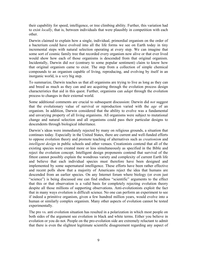their capability for speed, intelligence, or tree climbing ability. Further, this variation had to exist *locally*, that is, between individuals that were plausibly in competition with each other.

Darwin claimed to explain how a single, individual, primordial organism on the order of a bacterium could have evolved into all the life forms we see on Earth today in tiny incremental steps with natural selection operating at every step. We can imagine that some sort of cosmic family tree that recorded every organism now alive or that ever lived would show how each of those organisms is descended from that original organism. Incidentally, Darwin did *not* (contrary to some popular sentiment) claim to know how that original organism came to exist. The step from a collection of simple chemical compounds to an organism capable of living, reproducing, and evolving by itself in an inorganic world, is a *very* big step.

To summarize, Darwin teaches us that all organisms are trying to live as long as they can and breed as much as they can and are acquiring through the evolution process design characteristics that aid in this quest. Further, organisms can *adapt* through the evolution process to changes in their external world.

Some additional comments are crucial to subsequent discussion: Darwin did *not* suggest that the evolutionary value of survival or reproduction varied with the *age* of an organism. In addition, Darwin considered that the ability to evolve was a fundamental and unvarying property of all living organisms. All organisms were subject to mutational change and natural selection and all organisms could pass their particular designs to descendents through biological inheritance.

Darwin's ideas were immediately rejected by many on religious grounds, a situation that continues today. Especially in the United States, there are current and well-funded efforts to oppose evolution theory and promote teaching of alternatives such as *creationism* and *intelligent design* in public schools and other venues. Creationists contend that all of the existing species were created more or less simultaneously as specified in the Bible and reject the evolution concept. Intelligent design proponents contend that survival of the fittest cannot possibly explain the wondrous variety and complexity of current Earth life and believe that each individual species must therefore have been designed and implemented by some supernatural intelligence. These efforts have been rather effective and recent polls show that a majority of Americans reject the idea that humans are descended from an earlier species. On any Internet forum where biology (or even just "science") is being discussed one can find endless "scientific" arguments to the effect that this or that observation is a valid basis for completely rejecting evolution theory despite all those millions of supporting observations. Anti-evolutionists exploit the fact that in many ways evolution is difficult science. No one can perform an experiment to see if indeed a primitive organism, given a few hundred million years, would evolve into a human or similarly complex organism. Many other aspects of evolution cannot be tested experimentally.

The pro vs. anti evolution situation has resulted in a polarization in which most people on both sides of the argument see evolution in black and white terms. Either you believe in evolution or you do not. People on the pro-evolution side are extremely reluctant to admit that there is even the slightest legitimate scientific disagreement regarding any aspect of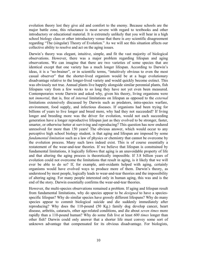evolution theory lest they give aid and comfort to the enemy. Because schools are the major battle zone, this reluctance is most severe with regard to textbooks and other introductory or educational material. It is extremely unlikely that you will hear in a high school biology class or other introductory venue that there is *any* scientific disagreement regarding "The (singular) Theory of Evolution." As we will see this situation affects our collective ability to resolve and act on the aging issues.

Darwin's theory was elegant, intuitive, simple, and fit the vast majority of biological observations. However, there was a major problem regarding lifespan and aging observations. We can imagine that there are two varieties of some species that are identical except that one variety has a much longer lifespan. According to Darwin's ideas, it is a "no-brainer", or in scientific terms, "intuitively obvious to even the most casual observer" that the shorter-lived organism would be at a huge evolutionary disadvantage relative to the longer-lived variety and would quickly become extinct. This was obviously not true. Annual plants live happily alongside similar perennial plants, fish lifespans vary from a few weeks to so long they have not yet even been measured. Contemporaries wrote Darwin and asked why, given his theory, living organisms were not *immortal*, that is, free of *internal* limitations on lifespan as opposed to the *external* limitations extensively discussed by Darwin such as predators, intra-species warfare, environment, food supply, and infectious diseases. If organisms had been trying for billions of years to live longer and breed more, why had they not succeeded? If living longer and breeding more was the driver for evolution, would not each succeeding generation have a longer reproductive lifespan just as they evolved to be stronger, faster, smarter, or otherwise better at surviving and reproducing? This question has now endured unresolved for more than 150 years! The obvious answer, which would occur to any perceptive high school biology student, is that aging and lifespan are imposed by some *fundamental limitation* such as a law of physics or chemistry that cannot be overcome by the evolution process. Many such laws indeed exist. This is of course essentially a restatement of the wear-and-tear theories. If we believe that lifespan is constrained by fundamental limitations, it logically follows that aging is an unavoidable property of life and that altering the aging process is theoretically impossible. If 3.8 billion years of evolution could not overcome the limitations that result in aging, is it likely that we will ever be able to do so? If, for example, anti-oxidants helped with aging, certainly organisms would have evolved ways to produce more of them. Darwin's theory, as understood by most people, logically leads to wear-and-tear theories and the impossibility of altering aging. For many people interested only in human aging, this was and is the end of the story. Darwin essentially confirms the wear-and-tear theories.

However, the multi-species observations remained a problem. If aging and lifespan result from fundamental limitations, why do species appear to be *designed* to have a speciesspecific lifespan? Why do similar species have grossly different lifespans? Why do many species appear to commit biological suicide and die suddenly immediately after reproducing? Why does the 110-pound (50 Kg.) family dog develop cancer, heart disease, arthritis, cataracts, other age-related conditions, and die about *seven times* more rapidly than a 110-pound human? Why do some fish live at least *600 times* longer than other fish? Darwin could only answer that a shorter life must convey some sort of unknown advantage that compensated for its obvious disadvantage. For biologists,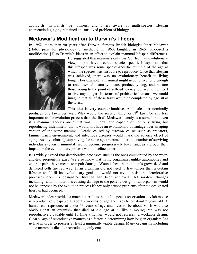<span id="page-10-0"></span>zoologists, naturalists, pet owners, and others aware of multi-species lifespan characteristics, aging remained an "unsolved problem of biology."

### **Medawar's Modification to Darwin's Theory**

In 1952, more than 90 years after Darwin, famous British biologist Peter Medawar (Nobel prize for physiology or medicine in 1960, knighted in 1965) proposed a modification [3] to Darwin's ideas in an effort to explain mammal lifespan differences.



He suggested that mammals only *needed* (from an evolutionary viewpoint) to have a certain species-specific lifespan and that this lifespan was some species-specific multiple of the age at which the species was first able to reproduce. Once that lifespan was achieved, there was no evolutionary benefit to living longer. For example, a mammal might need to live long enough to reach sexual maturity, mate, produce young, and nurture those young to the point of self-sufficiency, but would not need to live any longer. In terms of prehistoric humans, we could imagine that all of these tasks would be completed by age 30 at the latest.

This idea is very counter-intuitive. A female deer nominally

individuals (even if immortal) would become progressively fewer and, as a group, their produces one fawn per year. Why would the second, third, or  $N<sup>th</sup>$  fawn be any less important to the evolution process than the first? Medawar's analysis assumed that even if a mammal species arose that was immortal and capable of not only living but reproducing indefinitely, that it would not have an evolutionary advantage over an aging version of the same mammal. Deaths caused by *external* causes such as predators, famine, harsh environment, and infectious diseases would mask the adverse effect of aging. As any cohort (group having the same age) became older, the number of surviving impact on the evolutionary process would decline to zero.

not be opposed by the evolution process if they only caused problems after the designated It is widely agreed that deteriorative processes such as the ones enumerated by the wearand-tear proponents exist. We also know that living organisms, unlike automobiles and exterior paint, have means to repair damage. Wounds heal, hair and nails grow, dead and damaged cells are replaced. If an organism did not need to live longer than a certain lifespan to fulfill its evolutionary goals, it would not try to resist the deteriorative processes once its designated lifespan had been achieved. Deteriorative changes including random mutations causing damage to the genetic design of an organism would lifespan had occurred.

to live in order to possess at least a minimally viable design. Many organisms including some mammals die after reproducing only once. Medawar's idea provided a much better fit to the multi-species observations. A lab mouse is reproductively capable at about 2 months of age and lives to be about 2 years old. A human can reproduce at about 13 years of age and lives to be about 80. It was also obvious that an organism that died of old age at 2 (like a mouse) but was not reproductively capable until 13 (like a human) would not represent a workable design. Clearly, age of reproductive maturity is a factor in determining how long an organism *has*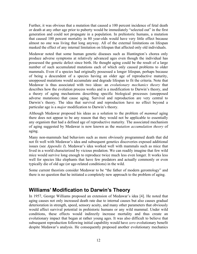<span id="page-11-0"></span>Further, it was obvious that a mutation that caused a 100 percent incidence of fetal death or death at any other age prior to puberty would be immediately "selected out" in the first generation and could not propagate in a population. In prehistoric humans, a mutation that caused 100 percent mortality in 80 year-olds would have very little effect because almost no one was living that long anyway. All of the external limitations on lifespan masked the effect of any internal limitation on lifespan that affected only old individuals.

Medawar noted that some human genetic diseases such as Huntington's chorea only produce adverse symptoms at relatively advanced ages even though the individual has possessed the genetic defect since birth. He thought aging could be the result of a large number of such accumulated mutations each of which only caused problems to older mammals. Even if a species had originally possessed a longer lifespan, perhaps because of being a descendent of a species having an older age of reproductive maturity, unopposed mutations would accumulate and degrade lifespan to fit the criteria. Note that Medawar is thus associated with two ideas: an *evolutionary mechanics theory* that describes how the evolution process works and is a modification to Darwin's theory, and a theory of aging mechanisms describing specific biological processes (unopposed adverse mutations) that cause aging. Survival and reproduction are very central to Darwin's theory. The idea that survival and reproduction have no effect beyond a particular age is a *major* modification to Darwin's theory.

Although Medawar proposed his ideas as a solution to the problem of *mammal* aging there does not appear to be any reason that they would not be applicable to essentially any organism that had a defined age of reproductive maturity. The associated mechanism of aging suggested by Medawar is now known as the *mutation accumulation theory* of aging.

Many non-mammals had behaviors such as more obviously programmed death that did not fit well with Medawar's idea and subsequent genetics discoveries exposed additional issues (see *Appendix I*). Medawar's idea worked well with mammals such as mice that lived in a world characterized by vicious predation. We can readily imagine that few wild mice would survive long enough to reproduce twice much less even longer. It works less well for species like elephants that have few predators and actually commonly or even typically die of old age (or age-related conditions) in the wild.

Some current theorists consider Medawar to be "the father of modern gerontology" and there is no question that he initiated a completely new approach to the problem of aging.

## **Williams' Modification to Darwin's Theory**

In 1957, George Williams proposed an extension of Medawar's idea [4]. He noted that aging causes not only increased death rate due to internal causes but also causes gradual deterioration in strength, speed, sensory acuity, and many other parameters that obviously would affect survival potential in prehistoric humans or any wild mammal. Under wild conditions, these effects would indirectly increase mortality and thus create an evolutionary impact that began at rather young ages. It was also difficult to believe that subsequent reproduction following initial capability would have *zero* evolutionary benefit despite Medawar's analysis. He consequently proposed another evolutionary mechanics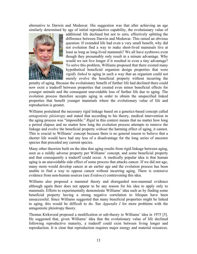alternative to Darwin and Medawar. His suggestion was that after achieving an age similarly determined by age of initial reproductive capability, the evolutionary value of



additional life declined but not to zero, effectively splitting the difference between Darwin and Medawar. This raised an obvious question: If extended life had even a very small benefit, why did not evolution find a way to make short-lived mammals live at least as long as long-lived mammals? We all have eyebrows even though they presumably only result in a minute advantage. Why would we not live longer if it resulted in even a tiny advantage? To solve this problem, Williams proposed that there existed many hypothetical beneficial organism design properties that were *rigidly linked* to aging in such a way that an organism could not merely evolve the beneficial property without incurring the

penalty of aging. Because the evolutionary benefit of further life had declined there could now exist a tradeoff between properties that created even minor beneficial effects for younger animals and the consequent unavoidable loss of further life due to aging. The evolution process therefore accepts aging in order to obtain the unspecified linked properties that benefit younger mammals where the evolutionary value of life and reproduction is greater.

Williams postulated the necessary rigid linkage based on a genetics-based concept called *antagonistic pleiotropy* and stated that according to his theory, medical intervention in the aging process was "impossible." *Rigid* in this context means that no matter how long a period elapses and no matter how long the evolution process attempts to remove the linkage and evolve the beneficial property *without* the harming effect of aging, it cannot. This is crucial to Williams' concept because there is no general reason to believe that a shorter life would have had any less of a disadvantage for the long series of ancestor species that preceded any current species.

Many other theorists built on the idea that aging results from rigid linkage between aging, seen as a mildly adverse property per Williams' concept, and some beneficial property and that consequently a tradeoff could occur. A medically popular idea is that human aging is an unavoidable side effect of some process that attacks cancer. If we did not age, many more would develop cancer at an earlier age and the evolution process has been unable to find a way to oppose cancer without incurring aging. There is extensive evidence from non-human sources (see *Evidence*) contravening this idea.

Williams also proposed a mammal theory and disregarded non-mammal evidence although again there does not appear to be any reason for his idea to apply only to mammals. Efforts to experimentally demonstrate Williams' idea such as by finding some beneficial property having a strong negative correlation to lifespan have been unsuccessful. Since Williams suggested that many beneficial properties might be linked to aging, this would be difficult to do. See *Appendix I* for more problems with the antagonistic pleiotropy theory.

Thomas Kirkwood proposed a modification or sub-theory to Williams' idea in 1975 [5]. He suggested that, given Williams' idea that the evolutionary value of life declined following reproductive maturity, a tradeoff could exist between living longer and reproduction. It is clear that reproduction requires major energy and material resources.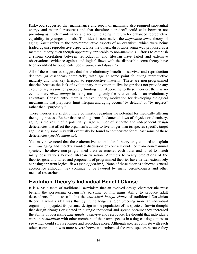<span id="page-13-0"></span>Kirkwood suggested that maintenance and repair of mammals also required substantial energy and material resources and that therefore a tradeoff could exist between not providing as much maintenance and accepting aging in return for enhanced reproductive capability in younger animals. This idea is now called the *disposable soma* theory of aging. *Soma* refers to the non-reproductive aspects of an organism, which were being traded against reproductive aspects. Like the others, disposable soma was proposed as a mammal theory even though apparently applicable to non-mammals. Efforts to establish a strong correlation between reproduction and lifespan have failed and extensive observational evidence against and logical flaws with the disposable soma theory have been identified by opponents. See *Evidence* and *Appendix I*.

All of these theories suggest that the evolutionary benefit of survival and reproduction declines (or disappears completely) with age at some point following reproductive maturity and thus key lifespan to reproductive maturity. These are non-programmed theories because the lack of evolutionary motivation to live longer does not provide any evolutionary reason for purposely limiting life. According to these theories, there is no evolutionary *disadvantage* in living too long, only the relative lack of an evolutionary advantage. Consequently, there is no evolutionary motivation for developing biological mechanisms that purposely limit lifespan and aging occurs "by default" or "by neglect" rather than "purposely."

These theories are slightly more optimistic regarding the potential for medically altering the aging process. Rather than resulting from fundamental laws of physics or chemistry, aging is the result of a potentially large number of separate and independent design deficiencies that affect the organism's ability to live longer than its species-specific target age. Possibly some way will eventually be found to compensate for at least some of these deficiencies (see *Mechanisms*).

You may have noted that these alternatives to traditional theory only claimed to explain *mammal* aging and thereby avoided discussion of contrary evidence from non-mammal species. The above non-programmed theories attacked each other and failed to match many observations beyond lifespan variation. Attempts to verify predictions of the theories generally failed and proponents of programmed theories have written extensively exposing apparent logical flaws (see *Appendix I*). None of these theories achieved general acceptance although they continue to be favored by many gerontologists and other medical researchers.

## **Evolution Theory's Individual Benefit Clause**

It is a basic tenet of traditional Darwinism that an evolved design characteristic must benefit the possessing organism's *personal* or *individual* ability to produce adult descendents. I like to call this the *individual benefit clause* of traditional Darwinian theory. Darwin's idea was that by living longer and/or breeding more an individual organism propagated its personal design in the population of its species. Darwin thought that design changes originated in a single individual and spread because they increased the ability of possessing *individuals* to survive and reproduce. He thought that individuals were in *competition* with other members of their own species in a dog-eat-dog contest to see which could survive longer and reproduce more. Although species compete with each other, competition was more severe between members of the *same* species because they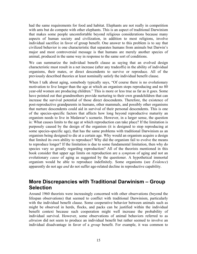<span id="page-14-0"></span>had the same requirements for food and habitat. Elephants are not really in competition with ants but do compete with other elephants. This is an aspect of traditional Darwinism that makes some people uncomfortable beyond religious considerations because many aspects of human society and civilization, in addition to most religions, involve individual sacrifice in favor of group benefit. One answer to this problem is to say that civilized behavior is one characteristic that separates humans from animals but Darwin's major and most controversial message is that humans are merely another species of animal, produced in the same way in response to the same sort of conditions.

We can summarize the individual benefit clause as saying that an evolved design characteristic must result in a net increase (after any tradeoffs) in the ability of individual organisms, their mates, or direct descendents to survive or reproduce. All of the previously described theories at least nominally satisfy the individual benefit clause.

When I talk about aging, somebody typically says, "Of course there is no evolutionary motivation to live longer than the age at which an organism stops reproducing and no 80 year-old women are producing children." This is more or less true as far as it goes. Some have pointed out that grandmothers provide nurturing to their own grandchildren that can increase the survival potential of those direct descendents. Therefore, the existence of post-reproductive grandparents in humans, other mammals, and possibly other organisms that nurture descendents could aid in survival of their personal descendents. This is one of the species-specific factors that affects how long beyond reproductive maturity an organism needs to live in Medawar's scenario. However, in a larger sense, the question is: What causes limits to the age at which reproduction can take place? If the limitation is purposely caused by the design of the organism (it is designed to stop reproducing at some species-specific age), that has the same problems with traditional Darwinism as an organism being designed to die at a certain age. Why would an organism acquire a design that limited its own ability to reproduce? Why did the organism fail to evolve the means to reproduce longer? If the limitation is due to some fundamental limitation, then why do species vary so greatly regarding reproduction? All of the theorists mentioned in this book consider that upper age limits on reproduction are a *symptom* of aging and not an evolutionary *cause* of aging as suggested by the questioner. A hypothetical immortal organism would be able to reproduce indefinitely. Some organisms (see *Evidence*) apparently do not age *and* do not suffer age-related decline in reproductive capability.

### **More Discrepancies with Traditional Darwinism – Group Selection**

Around 1960 theorists were increasingly concerned with other observations (beyond the lifespan observations) that seemed to conflict with traditional Darwinism, particularly with the individual benefit clause. Some cooperative behavior between animals such as might be observed in herds, flocks, and packs can be justified within the individual benefit context because such cooperation might well increase the probability of individual survival. However, some observations of animal behaviors referred to as *altruism* did not seem to produce an individual benefit but rather seemed to involve an individual disadvantage in favor of a *group* benefit. For example, it was common to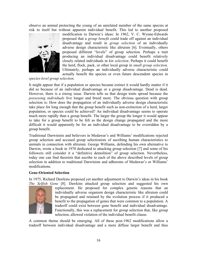observe an animal protecting the young of an unrelated member of the same species at risk to itself but without apparent individual benefit. This led to another proposed



modification to Darwin's ideas: In 1962, V. C. Wynne-Edwards proposed that a *group benefit* could trade off against an individual disadvantage and result in *group selection* of an individually adverse design characteristic like altruism [6]. Eventually, others proposed different "levels" of group selection. Perhaps a trait producing an individual disadvantage could benefit relatively closely related individuals in *kin selection*. Perhaps it could benefit the herd, flock, pack, or other local group in *small group selection*. Ultimately, perhaps an individually adverse characteristic could actually benefit the species or even future descendent species in

*species-level group selection*.

It might appear that if a population or species became extinct it would hardly matter if it did so because of an individual disadvantage or a group disadvantage. Dead is dead. However, there is a *timing* issue. Darwin tells us that design traits spread because the *possessing individuals* live longer and breed more. The obvious question with group selection is: How does the propagation of an individually adverse design characteristic take place for long enough that the group benefit such as non-extinction of a herd, larger population, or species could be achieved? An individual disadvantage seems to operate much more rapidly than a group benefit. The larger the group the longer it would appear to take for a group benefit to be felt as the design change propagated and the more difficult it would apparently be for an individual disadvantage to be overridden by a group benefit.

Traditional Darwinists and believers in Medawar's and Williams' modifications rejected group selection and accused group selectionists of ascribing human characteristics to animals in connection with altruism. George Williams, defending his own alternative to Darwin, wrote a book in 1970 dedicated to attacking group selection [7] and some of his followers still consider it a "definitive demolition" of group selection. Nevertheless, today one can find theorists that ascribe to each of the above described levels of group selection in addition to traditional Darwinists and adherents of Medawar's or Williams' modifications.

#### **Gene-Oriented Selection**

In 1975, Richard Dawkins proposed yet another adjustment to Darwin's ideas in his book *The Selfish Gene* [8]. Dawkins attacked group selection and suggested his own



replacement. He proposed for complex genetic reasons that an individually adverse organism design characteristic like altruism could be propagated and retained by the evolution process if it produced a benefit to the propagation of genes that were common to a population. A tradeoff could exist between gene benefit and individual disadvantage. Functionally, this was a replacement for group selection that, like group selection, allowed violation of the individual benefit clause.

A common theme should be emerging. All of these post-1962 modifications allow a tradeoff between individual disadvantage and a more diffuse larger benefit and thus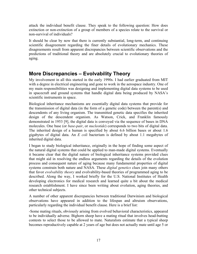<span id="page-16-0"></span>attack the individual benefit clause. They speak to the following question: How does extinction or non-extinction of a group of members of a species relate to the survival or non-survival of individuals?

It should be clear by now that there is currently substantial, long-term, and continuing scientific disagreement regarding the finer details of evolutionary mechanics. These disagreements result from apparent discrepancies between scientific observations and the predictions of traditional theory and are absolutely crucial to evolutionary theories of aging.

## **More Discrepancies – Evolvability Theory**

My involvement in all this started in the early 1990s. I had earlier graduated from MIT with a degree in electrical engineering and gone to work in the aerospace industry. One of my main responsibilities was designing and implementing digital data systems to be used in spacecraft and ground systems that handle digital data being produced by NASA's scientific instruments in space.

Biological inheritance mechanisms are essentially digital data systems that provide for the transmission of digital data (in the form of a genetic code) between the parent(s) and descendents of any living organism. The transmitted genetic data specifies the inherited design of the descendent organism. As Watson, Crick, and Franklin famously demonstrated in 1953 [9], the digital data is conveyed via the sequence of bases in DNA molecules. One base (or *base-pair*, or *nucleotide*) corresponds to two bits of digital data. The inherited design of a human is specified by about 6.6 billion bases or about 1.6 gigabytes of digital data. An *E coli* bacterium is defined by about 1.1 megabytes of inherited digital data.

I began to study biological inheritance, originally in the hope of finding some aspect of the natural digital systems that could be applied to man-made digital systems. Eventually it became clear that the digital nature of biological inheritance systems provided clues that might aid in resolving the endless arguments regarding the details of the evolution process and consequent nature of aging because many fundamental properties of digital systems constrain both nature and NASA. These *digital genetics* clues join many others that favor *evolvability theory* and evolvability-based theories of programmed aging to be described. Along the way, I worked briefly for the U.S. National Institutes of Health developing electronics for medical research and learned quite a bit about the medical research establishment. I have since been writing about evolution, aging theories, and other technical subjects.

A number of other apparent discrepancies between traditional Darwinism and biological observations have appeared in addition to the lifespan and altruism observations, particularly regarding the individual benefit clause. Here is a brief list:

-Some mating rituals, obviously arising from evolved behavioral characteristics, appeared to be individually adverse. Bighorn sheep have a mating ritual that involves head-butting contests to select those to be allowed to mate. Naturalists estimate that a typical sheep becomes reproductively capable at 2 years of age but does not actually mate until age 5 or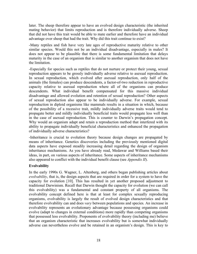later. The sheep therefore appear to have an evolved design characteristic (the inherited mating behavior) that limits reproduction and is therefore individually adverse. Sheep that did not have this trait would be able to mate earlier and therefore have an individual advantage over sheep that had the trait. Why did this trait continue to exist?

-Many reptiles and fish have very late ages of reproductive maturity relative to other similar species. Would this not be an individual disadvantage, especially in males? It does not appear to be plausible that there is some fundamental limitation that delays maturity in the case of an organism that is similar to another organism that does not have the limitation.

-Especially for species such as reptiles that do not nurture or protect their young, sexual reproduction appears to be grossly individually adverse relative to asexual reproduction. In sexual reproduction, which evolved after asexual reproduction, only half of the animals (the females) can produce descendents, a factor-of-two reduction in reproductive capacity relative to asexual reproduction where all of the organisms can produce descendents. What individual benefit compensated for this massive individual disadvantage and allowed evolution and retention of sexual reproduction? Other aspects of sexual reproduction also appear to be individually adverse. For example, sexual reproduction in diploid organisms like mammals results in a situation in which, because of the possibility of a recessive trait, mildly individually adverse traits would tend to propagate better and mildly individually beneficial traits would propagate less well than in the case of asexual reproduction. This is counter to Darwin's propagation concept. Why would an organism adapt and retain a reproduction method that interfered with its ability to propagate individually beneficial characteristics and enhanced the propagation of individually adverse characteristics?

-Inheritance is crucial to evolution theory because design changes are propagated by means of inheritance. Genetics discoveries including the previously mentioned digital data aspects have exposed steadily increasing detail regarding the design of organism inheritance mechanisms. As you have already read, Medawar and Williams based their ideas, in part, on various aspects of inheritance. Some aspects of inheritance mechanisms also appeared to conflict with the individual benefit clause (see *Appendix II*).

### **Evolvability**

In the early 1990s G. Wagner, L. Altenberg, and others began publishing articles about *evolvability*, that is, the design aspects that are required in order for a system to have the capacity for evolution [10]. This has resulted in yet another proposed adjustment to traditional Darwinism. Recall that Darwin thought the capacity for evolution (we can call this evolvability) was a fundamental and constant property of all organisms. The evolvability concept defined here is that at least for complex sexually reproducing organisms, evolvability is largely the result of evolved design characteristics and that therefore evolvability can and does *vary* between populations and species. An increase in evolvability represents an evolutionary advantage because possessing organisms could evolve (adapt to changes in external conditions) more rapidly than competing organisms that possessed less evolvability. Proponents of evolvability theory (including me) believe that an organism characteristic that increases evolvability but is somewhat individually adverse can nevertheless evolve and be retained in an organism's design. This is key to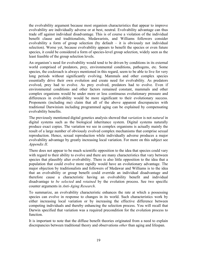the evolvability argument because most organism characteristics that appear to improve evolvability are individually adverse or at best, neutral. Evolvability advantage can thus trade off against individual disadvantage. This is of course a violation of the individual benefit clause and traditionalists, Medawarists, and Williams followers consider evolvability a form of group selection (by default – it is obviously not individual selection). Worse yet, because evolvability appears to benefit the species or even future species, it could be considered a form of species-level group selection, widely seen as the least feasible of the group selection levels.

An organism's need for evolvability would tend to be driven by conditions in its external world comprised of predators, prey, environmental conditions, pathogens, etc. Some species, the cockroach is always mentioned in this regard, seem to be able to live for very long periods without significantly evolving. Mammals and other complex species essentially drive their own evolution and create need for evolvability. As predators evolved, prey had to evolve. As prey evolved, predators had to evolve. Even if environmental conditions and other factors remained constant, mammals and other complex organisms would be under more or less continuous evolutionary pressure and differences in evolvability would be more significant to their evolutionary success. Proponents (including me) claim that all of the above apparent discrepancies with traditional Darwinism including programmed aging can be explained by compensating evolvability benefits.

The previously mentioned digital genetics analysis showed that *variation* is not *natural* in digital systems such as the biological inheritance system. Digital systems naturally produce exact copies. The variation we see in complex organisms is actually mainly the result of a large number of obviously evolved complex mechanisms that comprise sexual reproduction. Hence, sexual reproduction while individually adverse produces a major evolvability advantage by greatly increasing local variation. For more on this subject see *Appendix II*.

There does not appear to be much scientific opposition to the idea that species could vary with regard to their ability to evolve and there are many characteristics that vary between species that plausibly alter evolvability. There is also little opposition to the idea that a population that could evolve more rapidly would have an evolutionary advantage. The major objection by traditionalists and followers of Medawar and Williams is to the idea that an evolvability or group benefit could override an individual disadvantage and therefore cause a characteristic having an evolvability benefit and individual disadvantage to *be selected* and *retained* by the evolution process. See two specific counter arguments in *Anti-Aging Research*.

To summarize, an evolvability characteristic enhances the rate at which a possessing species can evolve in response to changes in its world. Such characteristics work by either increasing local variation or by increasing the effective difference between competing individuals and thereby enhancing the selection process. You will recall that Darwin specified that variation was a required precondition for the evolution process to function.

It is important to note that the diffuse benefit theories originated from a need to explain discrepancies between traditional theory and observations *other* than aging and lifespan.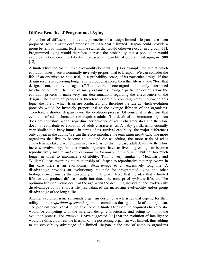### **Diffuse Benefits of Programmed Aging**

A number of diffuse (non-individual) benefits of a design-limited lifespan have been proposed. Joshua Mitteldorf proposed in 2004 that a limited lifespan could provide a group benefit by limiting feast-famine swings that would otherwise occur in a group [11]. Programmed aging would therefore increase the probability that a population would avoid extinction. Giacinto Libertini discussed kin benefits of programmed aging in 1988 [12].

A limited lifespan has multiple evolvability benefits [13]. For example, the rate at which evolution takes place is nominally inversely proportional to lifespan. We can consider the life of an organism to be a trial, in a probability sense, of its particular design. If that design results in surviving longer and reproducing more, then that life is a vote "for" that design. If not, it is a vote "against." The lifetime of one organism is mainly determined by chance or luck. The lives of many organisms having a particular design allow the evolution process to make very fine determinations regarding the effectiveness of the design. The evolution process is therefore essentially counting votes. Following this logic, the rate at which trials are conducted, and therefore the rate at which evolution proceeds would be inversely proportional to the average lifespan of the organisms. Therefore, a shorter lifespan favors the evolution process. Of course, it is also true that evolution of adult characteristics requires adults. The death of an immature organism does not contribute a trial regarding performance of adult characteristics and therefore does not contribute to evolution of adult characteristics. A baby gorilla is functionally very similar to a baby human in terms of its survival capability; the major differences only appear in the adults. We can therefore introduce the term *adult death rate*. The more organisms that live to become adults (and die as adults), the more trials of adult characteristics take place. Organism characteristics that increase adult death rate therefore increase evolvability. In other words organisms have to live long enough to become reproductively mature *and express adult performance characteristics* but not too much longer in order to maximize evolvability. This is very similar to Medawar's and Williams' ideas regarding the relationship of lifespan to reproductive maturity *except*, in this case there is an evolutionary *disadvantage* to an excessively long life. A disadvantage provides an evolutionary rationale for programmed aging and other biological mechanisms that purposely limit lifespan. Note that the idea that a limited lifespan can produce diffuse benefit introduces the concept of *optimum* lifespan. The optimum lifespan would occur at the age when the declining individual and evolvability disadvantage of too short a life just balanced the increasing evolvability and/or group disadvantage of too long a life.

Another evolution issue surrounds organism design characteristics that depend for their utility on the *acquisition of something* that accumulates during the life of the organism. The problem here is that in the absence of a limited lifespan the acquired characteristic would be competing with the inherited design characteristic and acting to inhibit the evolution process. For example, I have suggested [14] that the evolution of intelligence would be difficult unless the lifespan of the possessing organism was limited, thus adding to the evolvability advantage of a limited lifespan in the case of complex organisms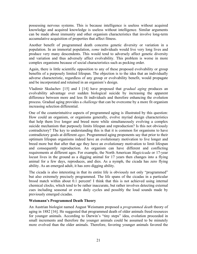possessing nervous systems. This is because intelligence is useless without acquired knowledge and acquired knowledge is useless without intelligence. Similar arguments can be made about immunity and other organism characteristics that involve long-term accumulative acquisition of properties that affect fitness.

Another benefit of programmed death concerns genetic diversity or variation in a population. In an immortal population, *some* individuals would live very long lives and produce very many descendents. This would tend to adversely affect genetic diversity and variation and thus adversely affect evolvability. This problem is worse in more complex organisms because of social characteristics such as pecking order.

Again, there is little scientific opposition to any of these proposed evolvability or group benefits of a purposely limited lifespan. The objection is to the idea that an individually adverse characteristic, regardless of any group or evolvability benefit, would propagate and be incorporated and retained in an organism's design.

Vladimir Skulachev [15] and I [14] have proposed that *gradual aging* produces an evolvability advantage over sudden biological suicide by increasing the apparent difference between more and less fit individuals and therefore enhancing the evolution process. Gradual aging provides a *challenge* that can be overcome by a more fit organism increasing selection differential.

One of the counterintuitive aspects of programmed aging is illustrated by this question: How could an organism, or organisms generally, evolve myriad design characteristics that help them live longer and breed more while simultaneously evolving a complex suicide mechanism that purposely limits lifespan and reproduction? Is this not obviously contradictory? The key to understanding this is that it is common for organisms to have contradictory goals at different *ages*. Programmed aging proponents say that prior to their optimum lifespan organisms indeed have an evolutionary motivation to live longer and breed more but that after that age they have an evolutionary motivation to limit lifespan and consequently reproduction. An organism can have different and conflicting requirements at different ages. For example, the North American *Magicicada* or 17-year locust lives in the ground as a digging animal for 17 years then changes into a flying animal for a few days, reproduces, and dies. As a nymph, the cicada has zero flying ability. As an emerged adult, it has zero digging ability.

The cicada is also interesting in that its entire life is obviously not only "programmed" but also extremely precisely programmed. The life spans of the cicadas in a particular brood match within about 0.1 percent! I think that this is not achieved using internal chemical clocks, which tend to be rather inaccurate, but rather involves detecting external cues including seasonal or even daily cycles and possibly the loud sounds made by previously emerged cicadas.

### **Weismann's Programmed Death Theory**

An Austrian biologist named August Weismann proposed a *programmed death* theory of aging in 1882 [16]. He suggested that programmed death of older animals freed resources for younger animals. According to Darwin's "tiny steps" idea, evolution proceeded in small increments and therefore the younger animals could be assumed to be minutely more evolved than the older animals. Therefore, favoring younger animals favored the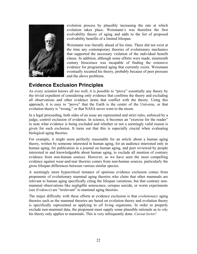<span id="page-21-0"></span>

evolution process by plausibly increasing the rate at which evolution takes place. Weismann's was therefore the first evolvability theory of aging and adds to the list of proposed evolvability benefits of a limited lifespan.

Weismann was literally ahead of his time. There did not exist at the time any contemporary theories of evolutionary mechanics that supported the necessary violation of the individual benefit clause. In addition, although some efforts were made, nineteenth century bioscience was incapable of finding the extensive evidence for programmed aging that currently exists. Weismann eventually recanted his theory, probably because of peer pressure and the above problems.

## **Evidence Exclusion Principles**

As every scientist knows all too well, it is possible to "prove" essentially any theory by the trivial expedient of considering only evidence that confirms the theory and excluding all observations and other evidence items that conflict with the theory. Using this approach, it is easy to "prove" that the Earth is the center of the Universe, or that evolution theory is "wrong," or that NASA never went to the moon.

In a legal proceeding, both sides of an issue are represented and strict rules, enforced by a judge, control exclusion of evidence. In science, it becomes an "exercise for the reader" to note what evidence is being excluded and whether or not a seemingly valid reason is given for such exclusion. It turns out that this is especially crucial when evaluating biological aging theories.

For example, it might seem perfectly reasonable for an article about a human aging theory, written by someone interested in human aging, for an audience interested only in human aging, for publication in a journal on human aging, and peer reviewed by people interested in and knowledgeable about human aging, to exclude all mention of contrary evidence from non-human sources. However, as we have seen the most compelling evidence against wear-and-tear theories comes from non-human sources, particularly the gross lifespan differences between various similar species.

A seemingly more hypocritical instance of spurious evidence exclusion comes from proponents of evolutionary mammal aging theories who claim that other mammals are relevant to human aging specifically citing the lifespan variations, but that contrary nonmammal observations like negligible senescence, octopus suicide, or worm experiments (see *Evidence*) are "irrelevant" to mammal aging theories.

The major difficulty with these efforts at evidence exclusion is that *evolutionary* aging theories such as the mammal theories are based on evolution theory and evolution theory is specifically represented as applying to *all* living organisms. In order to properly exclude non-mammal data, the proponent must supply some plausible rationale as to *why* his theory only applies to mammals. This is very infrequently done. *Caveat lector!*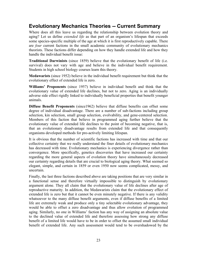### <span id="page-22-0"></span>**Evolutionary Mechanics Theories -- Current Summary**

Where does all this leave us regarding the relationship between evolution theory and aging? Let us define *extended life* as that part of an organism's lifespan that exceeds some species-specific multiple of the age at which it is first reproductively capable. There are *four* current factions in the small academic community of evolutionary mechanics theorists. These factions differ depending on how they handle extended life and how they handle the individual benefit issue:

**Traditional Darwinists** (since 1859) believe that the evolutionary benefit of life (i.e. survival) does not vary with age and believe in the individual benefit requirement. Students in high school biology courses learn this theory.

**Medawarists** (since 1952) believe in the individual benefit requirement but think that the evolutionary effect of extended life is zero.

**Williams' Proponents** (since 1957) believe in individual benefit and think that the evolutionary value of extended life declines, but not to zero. Aging is an individually adverse side effect rigidly linked to individually beneficial properties that benefit younger animals.

**Diffuse Benefit Proponents** (since1962) believe that diffuse benefits can offset some degree of individual disadvantage. There are a number of sub-factions including group selection, kin selection, small group selection, evolvability, and gene-centered selection. Members of this faction that believe in programmed aging further believe that the evolutionary value of extended life declines to the point of becoming negative, that is, that an evolutionary disadvantage results from extended life and that consequently organisms developed methods for pro-actively limiting lifespan.

It is obvious that the number of scientific factions has increased with time and that our collective certainty that we really understand the finer details of evolutionary mechanics has decreased with time. Evolutionary mechanics is experiencing divergence rather than convergence. More specifically, genetics discoveries that have increased our certainty regarding the more general aspects of evolution theory have simultaneously decreased our certainty regarding details that are crucial to biological aging theory. What seemed so elegant, simple, and certain in 1859 or even 1950 now seems complicated, messy, and uncertain.

Finally, the last three factions described above are taking positions that are very similar in a functional sense and therefore virtually impossible to distinguish by evolutionary argument alone. They all claim that the evolutionary value of life declines after age of reproductive maturity. In addition, the Medawarists claim that the evolutionary effect of extended life is zero but that it cannot be even minutely negative. If there is any validity whatsoever to the many diffuse benefit arguments, even if diffuse benefits of a limited life are extremely weak and produce only a tiny selectable evolutionary advantage, they would be able to offset a zero disadvantage and thus allow evolution of programmed aging. Similarly, no one in Williams' faction has any way of assigning an absolute value to the declined value of extended life and therefore assessing how strong any diffuse benefit of a limited life would have to be in order to offset the assumed small individual benefit of extended life. Any such assessment would tend to be overshadowed by the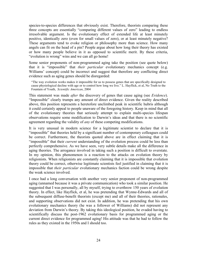species-to-species differences that obviously exist. Therefore, theorists comparing these three concepts are essentially "comparing different values of zero" leading to endless irresolvable argument. Is the evolutionary effect of extended life at least minutely positive, identically zero (even for small values of zero), or at least minutely negative? These arguments tend to evoke religion or philosophy more than science. How many angels can fit on the head of a pin? People argue about how long their theory has existed or how many people believe in it as opposed to scientific merit. By these criteria, "evolution is wrong" wins and we can all go home!

Some senior proponents of non-programmed aging take the position (see quote below) that it is "impossible" that *their particular* evolutionary mechanics concept (e.g. Williams' concept) could be incorrect and suggest that therefore any conflicting direct evidence such as aging genes should be disregarded:

"The way evolution works makes it impossible for us to possess genes that are specifically designed to cause physiological decline with age or to control how long we live." L. Hayflick, et al, No Truth to the Fountain of Youth, *Scientific American*, 2004

This statement was made *after* the discovery of genes that cause aging (see *Evidence*). "Impossible" clearly trumps any amount of direct evidence. Given the reality described above, this position represents a heretofore unclimbed peak in scientific hubris although it could certainly appeal to people unaware of the foregoing history. Keep in mind that all of the evolutionary theories that seriously attempt to explain multi-species lifespan observations require some modification to Darwin's ideas and that there is no scientific agreement regarding the validity of *any* of these competing modifications.

It is very unusual in modern science for a legitimate scientist to declare that it is "impossible" that theories held by a significant number of contemporary colleagues could be correct. Furthermore, the theorists quoted above are in effect claiming that it is "impossible" that their *current* understanding of the evolution process could be less than perfectly comprehensive. As we have seen, very subtle details make all the difference in aging theories. The arrogance involved in taking such a position is difficult to overstate. In my opinion, this phenomenon is a reaction to the attacks on evolution theory by religionists. When religionists are constantly claiming that it is impossible that evolution theory could be correct, otherwise legitimate scientists feel justified in claiming that it is impossible that *their particular* evolutionary mechanics faction could be wrong despite the weak science involved.

I once had a long conversation with another very senior proponent of non-programmed aging (unnamed because it was a private communication) who took a similar position. He suggested that I was personally, all by myself, trying to overthrow 150 years of evolution theory. In effect, like Hayflick, et al, he was pretending that Wynne-Edwards and all of the subsequent diffuse-benefit theorists (except me) and all of their theories, rationales, and supporting observations did not exist. In addition, he was pretending that his own evolutionary mechanics theory (he was a follower of Williams) did not represent any deviation from Darwin's theory. By taking this ideological position, he evaded having to scientifically discuss the post-1962 evolutionary basis for programmed aging or the current direct evidence for programmed aging! His attitude was that he had to follow the rules as they existed in the 1950s and I should too.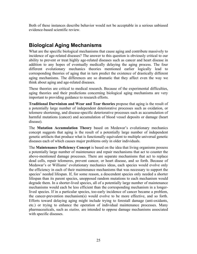<span id="page-24-0"></span>Both of these instances describe behavior would not be acceptable in a serious unbiased evidence-based scientific review.

## **Biological Aging Mechanisms**

What are the specific biological mechanisms that cause aging and contribute massively to incidence of age-related diseases? The answer to this question is obviously critical to our ability to prevent or treat highly age-related diseases such as cancer and heart disease in addition to any hopes of eventually medically delaying the aging process. The four different evolutionary mechanics theories mentioned earlier logically lead to corresponding theories of aging that in turn predict the existence of drastically different aging mechanisms. The differences are so dramatic that they affect even the way we think about aging and age-related diseases.

These theories are critical to medical research. Because of the experimental difficulties, aging theories and their predictions concerning biological aging mechanisms are very important to providing guidance to research efforts.

**Traditional Darwinism and Wear and Tear theories** propose that aging is the result of a potentially large number of independent deteriorative processes such as oxidation, or telomere shortening, and disease-specific deteriorative processes such as accumulation of harmful mutations (cancer) and accumulation of blood vessel deposits or damage (heart disease).

The **Mutation Accumulation Theory** based on Medawar's evolutionary mechanics concept suggests that aging is the result of a potentially large number of independent genetic artifacts that produce what is functionally equivalent to multiple universal genetic diseases each of which causes major problems only in older individuals.

The **Maintenance Deficiency Concept** is based on the idea that living organisms possess a potentially large number of maintenance and repair mechanisms that act to counter the above-mentioned damage processes. There are separate mechanisms that act to replace dead cells, repair telomeres, prevent cancer, or heart disease, and so forth. Because of Medawar's or Williams' evolutionary mechanics ideas, each species would evolve only the efficiency in each of their maintenance mechanisms that was necessary to support the species' needed lifespan. If, for some reason, a descendent species only needed a shorter lifespan than its parent species, unopposed random mutations to each mechanism would degrade them. In a shorter-lived species, all of a potentially large number of maintenance mechanisms would each be less efficient than the corresponding mechanism in a longerlived species. If in a particular species, too-early incidence of cancer became a problem, the cancer-prevention mechanism(s) would evolve to be more effective, and so forth. Efforts toward delaying aging might include trying to forestall damage (anti-oxidants, etc.) or trying to enhance the operation of individual maintenance processes. Many pharmaceuticals, such as *statins,* are intended to oppose damage mechanisms associated with specific diseases.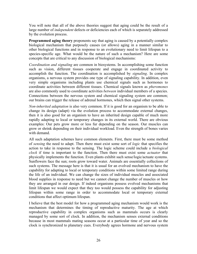You will note that all of the above theories suggest that aging could be the result of a large number of *independent* defects or deficiencies each of which is separately addressed by the evolution process.

**Programmed aging theory** proponents say that aging is caused by a potentially complex biological mechanism that purposely causes (or allows) aging in a manner similar to other biological functions and in response to an evolutionary need to limit lifespan to a species-specific age. What would be the nature of such a mechanism? Here are some concepts that are critical to any discussion of biological mechanisms:

*Coordination and signaling* are common in biosystems. In accomplishing some function such as vision, different tissues cooperate and engage in coordinated activity to accomplish the function. The coordination is accomplished by *signaling*. In complex organisms, a nervous system provides one type of signaling capability. In addition, even very simple organisms including plants use chemical signals such as hormones to coordinate activities between different tissues. Chemical signals known as *pheromones* are also commonly used to coordinate activities *between* individual members of a species. Connections between the nervous system and chemical signaling system are common; our brains can trigger the release of adrenal hormones, which then signal other systems.

*Non-inherited adaptation* is also very common. If it is good for an organism to be able to change its design (adapt) via the evolution process to accommodate external changes, then it is also good for an organism to have an inherited design capable of much more rapidly adapting to local or temporary changes in its external world. There are obvious examples: Our pets grow more or less fur depending on the season. Our muscles can grow or shrink depending on their individual workload. Even the strength of bones varies with demand.

All such adaptation schemes have common elements. First, there must be some method of *sensing* the need to adapt. Then there must exist some sort of *logic* that specifies the action to take in response to the sensing. The logic scheme could include a *biological clock* if time is important to the function. Then there must exist some *actuator* that physically implements the function. Even plants exhibit such sense/logic/actuate systems. Sunflowers face the sun; roots grow toward water. Animals are essentially collections of such systems. The message here is that it is usual for an evolved mechanism to have the capability for adapting to local or temporary conditions within some limited range during the life of an individual. We can change the sizes of individual muscles and associated blood supplies in response to need but we cannot change the number of muscles or how they are arranged in our design. If indeed organisms possess evolved mechanisms that limit lifespan we would expect that they too would possess the capability for adjusting lifespan within some range in order to accommodate local or temporary external conditions that affect optimum lifespan.

I believe that the best model for how a programmed aging mechanism would work is the mechanism that determines the timing of reproductive maturity. The age at which reproductive capability in complex organisms such as mammals occurs is clearly managed by some sort of clock. In addition, the mechanism senses external conditions because in most mammals mating seasons occur at a particular time of year and so the clock is synchronized to planetary cues. Everybody agrees hormone and nervous system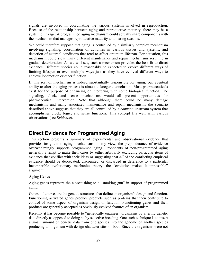<span id="page-26-0"></span>signals are involved in coordinating the various systems involved in reproduction. Because of the relationship between aging and reproductive maturity, there may be a systemic linkage. A programmed aging mechanism could actually share components with the mechanism that manages reproductive maturity and mating seasons.

We could therefore suppose that aging is controlled by a similarly complex mechanism involving signaling, coordination of activities in various tissues and systems, and detection of external conditions that tend to affect optimum lifespan. For actuation, this mechanism could slow many different maintenance and repair mechanisms resulting in gradual deterioration. As we will see, such a mechanism provides the best fit to direct evidence. Different species could reasonably be expected to evolve different ways of limiting lifespan or even multiple ways just as they have evolved different ways to achieve locomotion or other function.

If this sort of mechanism is indeed substantially responsible for aging, our eventual ability to alter the aging process is almost a foregone conclusion. Most pharmaceuticals exist for the purpose of enhancing or interfering with some biological function. The signaling, clock, and sense mechanisms would all present opportunities for pharmaceutical intervention. Note that although there could be many damage mechanisms and many associated maintenance and repair mechanisms the scenario described above suggests that they are all controlled by a *common* upstream system that accomplishes clock, logic, and sense functions. This concept fits well with various observations (see *Evidence*).

## **Direct Evidence for Programmed Aging**

This section presents a summary of experimental and observational evidence that provides insight into aging mechanisms. In my view, the preponderance of evidence overwhelmingly supports programmed aging. Proponents of non-programmed aging generally attempt to make their cases by either arbitrarily excluding particular items of evidence that conflict with their ideas or suggesting that *all* of the conflicting empirical evidence should be deprecated, discounted, or discarded in deference to a particular incompatible evolutionary mechanics theory, the "evolution makes it impossible" argument.

### **Aging Genes**

Aging genes represent the closest thing to a "smoking gun" in support of programmed aging.

Genes, of course, are the genetic structures that define an organism's design and function. Functioning activated genes produce products such as proteins that then contribute to control of some aspect of organism design or function. Functioning genes and their products are generally accepted as obviously evolved features of an organism.

Recently it has become possible to "genetically engineer" organisms by altering genetic data directly as opposed to doing so by selective breeding. One such technique is to insert a small amount of genetic data from one species into the genome of another species producing an organism with design characteristics of both. Since the organisms were not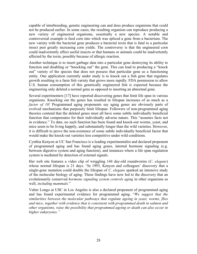capable of interbreeding, genetic engineering can and does produce organisms that could not be produced earlier. In some cases, the resulting organism can reproduce producing a new variety of engineered organisms, essentially a new species. A notable and controversial example is feed corn into which was spliced a gene from a bacterium. The new variety with the bacterial gene produces a bacterial toxin that is fatal to a particular insect pest greatly increasing corn yields. The controversy is that the engineered corn could inadvertently affect useful insects or that humans or animals could be inadvertently affected by the toxin, possibly because of allergic reaction.

Another technique is to insert garbage data into a particular gene destroying its ability to function and disabling or "knocking out" the gene. This can lead to producing a "knock out" variety of the species that does not possess that particular gene as a functioning entity. One application currently under study is to knock out a fish gene that regulates growth resulting in a farm fish variety that grows more rapidly. FDA permission to allow U.S. human consumption of this genetically engineered fish is expected because the engineering only deleted a normal gene as opposed to inserting an abnormal gene.

Several experimenters [17] have reported discovering genes that limit life span in various organisms. Knocking out the genes has resulted in lifespan increases of as much as a *factor of 10!* Programmed aging proponents say aging genes are obviously parts of evolved mechanisms that purposely limit lifespan. Followers of non-programmed aging theories contend that the deleted genes must all have some subtle individually beneficial function that compensates for their individually adverse nature. This "assumes facts not in evidence." To date, no such function has been found and knock-out worms, yeast, and mice seem to be living happily, and substantially longer than the wild varieties. However, it is difficult to prove the non-existence of some subtle individually beneficial factor that would make the knock-out varieties less competitive under wild conditions.

Cynthia Kenyon at UC San Francisco is a leading experimentalist and declared proponent of programmed aging and has found aging genes, internal hormone signaling (e.g. between digestive system and aging function), and instances where a life span regulation system is mediated by detection of external signals.

Her web site features a video clip of wriggling 144 day-old roundworms (*C. elegans*) whose normal lifespan is 21 days. "In 1993, Kenyon and colleagues' discovery that a single-gene mutation could double the lifespan of *C. elegans* sparked an intensive study of the molecular biology of aging. These findings have now led to the discovery that an evolutionarily conserved *hormone signaling system controls aging* in other organisms as well, *including mammals.*"

Valter Longo at USC in Los Angeles is also a declared proponent of programmed aging and has found experimental evidence for programmed aging. "*We suggest that the similarities between the molecular pathways that regulate ageing in yeast, worms, flies and mice, together with evidence that is consistent with programmed death in salmon and other organisms, raise the possibility that programmed ageing or death can also occur in higher eukaryotes."*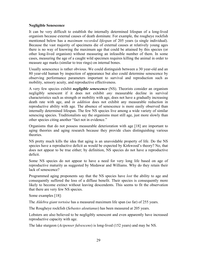### **Negligible Senescence**

It can be very difficult to establish the internally determined lifespan of a long-lived organism because external causes of death dominate. For example, the rougheye rockfish mentioned below has a *maximum recorded lifespan* of 205 years (a single individual). Because the vast majority of specimens die of external causes at relatively young ages there is no way of knowing the maximum age that could be attained by this species (or other long-lived organism) without measuring an infeasible number of them. In some cases, measuring the age of a caught wild specimen requires killing the animal in order to measure age marks (similar to tree rings) on internal bones.

Usually senescence is rather obvious. We could distinguish between a 30 year-old and an 80 year-old human by inspection of appearance but also could determine senescence by observing performance parameters important to survival and reproduction such as mobility, sensory acuity, and reproductive effectiveness.

A very few species exhibit *negligible senescence* (NS). Theorists consider an organism negligibly senescent if it does not exhibit *any* measurable decline in survival characteristics such as strength or mobility with age, does not have a gradually increasing death rate with age, and *in addition* does not exhibit any measurable reduction in reproductive ability with age. The absence of senescence is more easily observed than internally determined lifespan. The few NS species live among a wide variety of similar senescing species. Traditionalists say the organisms must still age, just more slowly than other species citing another "fact not in evidence."

Organisms that do not possess measurable deterioration with age [18] are important to aging theories and aging research because they provide clues distinguishing various theories.

NS pretty much kills the idea that aging is an unavoidable property of life. Do the NS species have a reproductive deficit as would be expected by Kirkwood's theory? No, that does not appear to be true either; by definition, NS species do not have a reproductive deficit.

Some NS species do not appear to have a need for very long life based on age of reproductive maturity as suggested by Medawar and Williams. Why do they retain their lack of senescence?

Programmed aging proponents say that the NS species have *lost* the ability to age and consequently suffered the loss of a diffuse benefit. Their species is consequently more likely to become extinct without leaving descendents. This seems to fit the observation that there are very few NS species.

Some examples [18]:

The *Aldebra giant tortoise* has a measured maximum life span (so far) of 255 years.

The Rougheye rockfish (*Sebastes aleutianus*) has been measured at 205 years.

Lobsters are also believed to be negligibly senescent and even apparently have increased reproductive capacity with age.

The lake sturgeon (*Acipenser fulvescens*) is long-lived (152 years) and may be NS.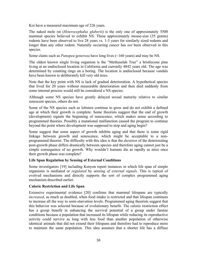Koi have a measured maximum age of 226 years.

The naked mole rat (*Heterocephalus glaberis*) is the only one of approximately 5500 mammal species believed to exhibit NS. These approximately mouse-size (35 grams) rodents have been observed to live 28 years vs. 1-3 years for similarly sized rodents and longer than any other rodent. Naturally occurring cancer has *not* been observed in this species.

Some clams such as *Panopea generosa* have long lives (~160 years) and may be NS.

The oldest known single living organism is the "Methuselah Tree" a bristlecone pine living at an undisclosed location in California and currently 4842 years old. The age was determined by counting rings on a boring. The location is undisclosed because vandals have been known to deliberately kill very old trees.

Note that the key point with NS is lack of gradual deterioration. A hypothetical species that lived for 20 years without measurable deterioration and then died suddenly from some internal process would still be considered a NS species.

Although some NS species have greatly delayed sexual maturity relative to similar senescent species, others do not.

Some of the NS species such as lobsters continue to grow and do not exhibit a defined age at which their growth is complete. Some theorists suggest that the end of growth (development) signals the beginning of senescence, which makes sense according to programmed theories. Possibly a mutational malfunction caused the program to continue beyond the point where development was supposed to stop and aging begin?

Some suggest that some aspect of growth inhibits aging and that there is some rigid linkage between growth and senescence, which might be acceptable to a nonprogrammed theorist. The difficulty with this idea is that the *duration* of the deteriorating post-growth phase differs drastically between species and therefore aging cannot just be a simple consequence of no growth. Why wouldn't humans die as rapidly as mice once their growth phase was complete?

### **Life Span Regulation by Sensing of External Conditions**

Some investigators [19] including Kenyon report instances in which life span of simple organisms is mediated or *regulated* by se*nsing of external signals*. This is typical of evolved mechanisms and directly supports the sort of complex programmed aging mechanism described earlier.

### **Caloric Restriction and Life Span**

Extensive experimental evidence [20] confirms that mammal lifespans are typically *increased*, as much as doubled, when food intake is restricted and that lifespan continues to increase all the way to semi-starvation levels. Programmed aging theorists suggest that this behavior was selected because of evolutionary benefit. The caloric restriction effect has a group benefit in enhancing the survival potential of a group under famine conditions because a population that increased its lifespan while reducing its reproductive activity could survive as long with less food than another population of otherwise identical animals that did not extend their lifespans and therefore had to reproduce more to maintain the same population. This idea assumes that a shorter life has a diffuse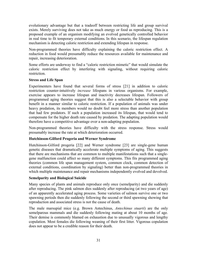evolutionary advantage but that a tradeoff between restricting life and group survival exists. Merely surviving does not take as much energy or food as reproducing. This is a proposed example of an organism modifying an evolved genetically controlled behavior in real time to fit temporary external conditions. In this scenario, the lifespan regulation mechanism is detecting caloric restriction and extending lifespan in response.

Non-programmed theories have difficulty explaining the caloric restriction effect. A reduction in food would presumably reduce the resources available for maintenance and repair, increasing deterioration.

Some efforts are underway to find a "caloric restriction mimetic" that would simulate the caloric restriction effect by interfering with signaling, without requiring caloric restriction.

### **Stress and Life Span**

Experimenters have found that several forms of stress [21] in addition to caloric restriction counter-intuitively *increase* lifespans in various organisms. For example, exercise appears to increase lifespan and inactivity decreases lifespan. Followers of programmed aging theories suggest that this is also a selectable behavior with group benefit in a manner similar to caloric restriction. If a population of animals was under heavy predation, its members would no doubt feel more stress than another population that had few predators. If such a population increased its lifespan, that would tend to compensate for the higher death rate caused by predation. The adapting population would therefore have a competitive advantage over a non-adapting population.

Non-programmed theories have difficulty with the stress response. Stress would presumably increase the rate at which deterioration occurred.

### **Hutchinson-Gilford Progeria and Werner Syndrome**

Hutchinson-Gilford progeria [22] and Werner syndrome [23] are single-gene human genetic diseases that dramatically accelerate multiple symptoms of aging. This suggests that there are mechanisms that are common to multiple manifestations such that a singlegene malfunction could affect so many different symptoms. This fits programmed aging theories (common life span management system, common clock, common detection of external conditions, coordination by signaling) better than non-programmed theories in which multiple maintenance and repair mechanisms independently evolved and devolved.

### **Semelparity and Biological Suicide**

Many species of plants and animals reproduce only once (semelparity) and die suddenly after reproducing. The pink salmon dies suddenly after reproducing (at two years of age) of an apparently accelerated aging process. Some varieties of salmon survive one or two spawning periods then die suddenly following the second or third spawning showing that reproduction and associated stress is not the cause of death.

The male marsupial mice (e.g. Brown Antechinus, *Antechinus stuarti*) are the only semelparous mammals and die suddenly following mating at about 10 months of age. Their demise is commonly blamed on exhaustion due to unusually vigorous and lengthy copulation. Most females die following weaning of their first litter. Vigorous copulation does not appear to be a credible reason for their death.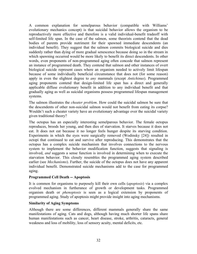A common explanation for semelparous behavior (compatible with Williams' evolutionary mechanics concept) is that suicidal behavior allows the organism to be reproductively more effective and therefore is a valid individual-benefit tradeoff with self-limited life span. In the case of the salmon, some theorists contend that the dead bodies of parents provide nutriment for their spawned immediate descendents (an individual benefit). They suggest that the salmon commits biological suicide and dies suddenly rather than dying of more gradual senescence because doing so in the stream in which spawning occurred would be more likely to benefit its direct descendents. In other words, even proponents of non-programmed aging often concede that salmon represent an instance of programmed death. They contend that salmon and other instances of overt biological suicide represent cases where an organism needed to actively limit lifespan because of some individually beneficial circumstance that does not (for some reason) apply in even the slightest degree to *any* mammals (except *Antichinus*). Programmed aging proponents contend that design-limited life span has a direct and generally applicable diffuse evolutionary benefit in addition to any individual benefit and that gradually aging as well as suicidal organisms possess programmed lifespan management systems.

The salmon illustrates the *cheater problem*. How could the suicidal salmon be sure that the descendents of other non-suicidal salmon would not benefit from eating its corpse? Wouldn't such a cheater variety have an evolutionary advantage over the suicidal variety given traditional theory?

The octopus has an especially interesting semelparous behavior. The female octopus reproduces, broods her young, and then dies of starvation. It starves because it does not eat. It does not eat because it no longer feels hunger despite its starving condition. Experiments in which the eyes were surgically removed (Wodinsky [24]) resulted in octopi that continued to eat and survive after reproducing. This demonstrates that the octopus has a complex suicide mechanism that involves connections to the nervous system to implement the behavior modification function, suggests that signaling is involved, *and* suggests a sense function is involved in determining when to execute the starvation behavior. This closely resembles the programmed aging system described earlier (see *Mechanisms*). Further, the suicide of the octopus does not have any apparent individual benefit. Demonstrated suicide mechanisms add to the case for programmed aging.

### **Programmed Cell Death -- Apoptosis**

It is common for organisms to purposely kill their own cells (*apoptosis*) via a complex evolved mechanism in furtherance of growth or development tasks. Programmed organism death or *phenoptosis* is seen as a logical extension by proponents of programmed aging. Study of apoptosis might provide insight into aging mechanisms.

### **Similarity of Aging Symptoms**

Although there are some differences, different mammals generally share the same manifestations of aging. Cats and dogs, although having much shorter life spans share human manifestations such as cancer, heart disease, stroke, arthritis, cataracts, general weakness and loss of mobility, loss of sensory acuity, mental deficits, etc.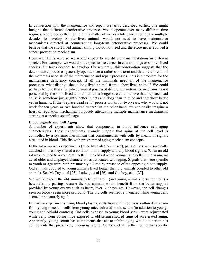In connection with the maintenance and repair scenarios described earlier, one might imagine that different deteriorative processes would operate over many different time regimes. Red blood cells might die in a matter of weeks while cancer could take multiple decades to develop. Shorter-lived animals would not need to have maintenance mechanisms directed at counteracting long-term deteriorative processes. We could believe that the short-lived animal simply would not need and therefore never evolved a cancer prevention mechanism.

However, if this were so we would expect to see different manifestations in different species. For example, we would not expect to see cancer in cats and dogs or shorter-lived species if it takes decades to develop. Consequently, this observation suggests that the deteriorative processes generally operate over a rather short term and that therefore all of the mammals need all of the maintenance and repair processes. This is a problem for the maintenance deficiency concept. If all the mammals need all of the maintenance processes, what distinguishes a long-lived animal from a short-lived animal? We could perhaps believe that a long-lived animal possessed different maintenance mechanisms not possessed by the short-lived animal but it is a longer stretch to believe that "replace dead cells" is somehow just slightly better in cats and dogs than in mice and somehow better yet in humans. If the "replace dead cells" process works for two years, why would it not work for ten years or two hundred years? On the other hand, we can easily imagine a lifespan regulation mechanism purposely attenuating multiple maintenance mechanisms starting at a species-specific age.

### **Blood Signals and Cell Aging**

A number of experiments show that components in blood influence cell aging characteristics. These experiments strongly suggest that aging at the cell level is controlled by a systemic mechanism that communicates with cells by means of signals circulated in blood. This fits with programmed aging mechanism concepts.

In the rat *parabiosis* experiments (mice have also been used), pairs of rats were surgically attached so that they shared a common blood supply and any blood signals. When an old rat was coupled to a young rat, cells in the old rat acted younger and cells in the young rat acted older and displayed characteristics associated with aging. Signals that were specific to youth or age were both presumably diluted by presence of the opposing blood supply. Old animals coupled to young animals lived longer than old animals coupled to other old animals. See McCay, et al [25], Ludwig, et al [26], and Conboy, et al [27].

We would expect the old animals to benefit from (and young animals to suffer from) a heterochronic pairing because the old animals would benefit from the better support provided by young organs such as heart, liver, kidneys, etc. However, the cell changes seen on biopsy seem more profound. The old cells seemed rejuvenated while young cells seemed prematurely aged.

In in-vitro experiments using blood plasma, cells from old mice were cultured in serum from young mice and cells from young mice cultured in old serum (in addition to youngyoung and old-old controls). Old cells exposed to young blood serum were rejuvenated while cells from young mice exposed to old serum showed signs of accelerated aging. Apparently, young serum has components that act to inhibit aging while old serum has components that proactively encourage aging. Conboy, et al. further found that specific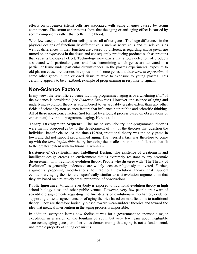<span id="page-33-0"></span>effects on progenitor (stem) cells are associated with aging changes caused by serum components. The serum experiments show that the aging or anti-aging effect is caused by serum components rather than cells in the blood.

With few exceptions, all of our cells possess all of our genes. The huge differences in the physical designs of functionally different cells such as nerve cells and muscle cells as well as differences in their function are caused by differences regarding *which genes* are turned on or *expressed* in the tissue and consequently producing products such as proteins that cause a biological effect. Technology now exists that allows detection of products associated with particular genes and thus determining which genes are activated in a particular tissue under particular circumstances. In the plasma experiments, exposure to old plasma caused reductions in expression of some genes and *increases in expression* of some other genes in the exposed tissue relative to exposure to young plasma. This certainly appears to be a textbook example of programming in response to signals.

## **Non-Science Factors**

In my view, the scientific evidence favoring programmed aging is overwhelming if *all* of the evidence is considered (see *Evidence Exclusion*). However, the science of aging and underlying evolution theory is encumbered to an arguably greater extent than any other fields of science by non-science factors that influence both public and scientific thinking. All of these non-science factors (not formed by a logical process based on observations or experiment) favor non-programmed aging. Here is a list:

**Theory Development Sequence:** The major evolutionary non-programmed theories were mainly proposed *prior* to the development of *any* of the theories that question the individual benefit clause. At the time (1950s), traditional theory was the only game in town and did not support programmed aging. The theorist's task was therefore to come up with the *least implausible* theory involving the smallest possible modification that fit to the greatest extent with traditional Darwinism.

**Existence of Creationism and Intelligent Design:** The existence of creationism and intelligent design creates an environment that is extremely resistant to any *scientific* disagreement with traditional evolution theory. People who disagree with "The Theory of Evolution" as generally understood are widely seen as religiously motivated. Further, arguments proposing modifications to traditional evolution theory that support evolutionary aging theories are superficially similar to anti-evolution arguments in that they are based on a relatively small proportion of observations.

**Public Ignorance:** Virtually everybody is exposed to traditional evolution theory in high school biology class and other public venues. However, very few people are aware of scientific disagreements regarding the fine details of evolutionary mechanics, evidence supporting those disagreements, or of aging theories based on modifications to traditional theory. They are therefore logically biased toward wear-and-tear theories and toward the idea that medical intervention in the aging process is impossible.

In addition, everyone learns how foolish it was for a government to sponsor a major expedition in a search of the fountain of youth but very few learn about negligible senescence, aging genes, or other clues demonstrating that aging is not a fundamental, unalterable property of living organisms.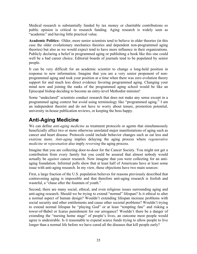<span id="page-34-0"></span>Medical research is substantially funded by tax money or charitable contributions so public opinion is critical to research funding. Aging research is widely seen as "academic" and having little practical value.

**Academic Politics:** Older, more senior scientists tend to believe in older theories (in this case the older evolutionary mechanics theories and dependent non-programmed aging theories) but also as we would expect tend to have more influence in their organizations. Publicly declaring a belief in programmed aging or publishing a book like this one could well be a bad career choice. Editorial boards of journals tend to be populated by senior people.

It can be very difficult for an academic scientist to change a long-held position in response to new information. Imagine that you are a very senior proponent of nonprogrammed aging and took your position at a time when there was zero evolution theory support for and much less direct evidence favoring programmed aging. Changing your mind now and joining the ranks of the programmed aging school would be like an Episcopal bishop deciding to become an entry-level Methodist minister!

Some "undeclared" scientists conduct research that does not make any sense except in a programmed aging context but avoid using terminology like "programmed aging." I am an independent theorist and do not have to worry about tenure, promotion potential, university in-house publication reviews, or keeping the boss happy.

## **Anti-Aging Medicine**

We can define *anti-aging medicine* as treatment protocols or agents that simultaneously beneficially affect two or more otherwise unrelated major manifestations of aging such as cancer and heart disease. Protocols could include behavior changes such as eat less and exercise more. *Anti-aging* implies delaying the aging process where *regenerative medicine* or *rejuvenation* also imply *reversing* the aging process.

Imagine that you are collecting door-to-door for the Cancer Society. You might not get a contribution from every family but you could be assured that almost nobody would actually be *against* cancer research. Now imagine that you were collecting for an antiaging foundation. Informal polls show that at least half of Americans have at least some issue with anti-aging research. In my view, these objections have two main sources:

First, a large fraction of the U.S. population believes for reasons previously described that contravening aging is impossible and that therefore anti-aging research is foolish and wasteful, a "chase after the fountain of youth."

Second, there are many social, ethical, and even religious issues surrounding aging and anti-aging research. Should we be trying to extend "normal" lifespan? Is it ethical to alter a normal aspect of human design? Wouldn't extending lifespan increase problems with social security and other entitlements and cause other societal problems? Wouldn't trying to extend normal lifespan be "playing God" or at least "tempting fate" and risking a tower-of-Babel or Icarus punishment for our arrogance? Wouldn't there be a danger of extending the "nursing home stage" of people's lives, an outcome most people would agree is undesirable. Is it reasonable to expend scarce funds trying to allow people to live longer than a normal life before we have cured all the diseases that kill people early?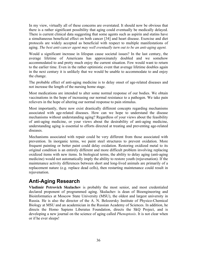<span id="page-35-0"></span>In my view, virtually all of these concerns are overstated. It should now be obvious that there is a rather significant possibility that aging could eventually be medically delayed. There is current clinical data suggesting that some agents such as aspirin and statins have a simultaneous beneficial effect on both cancer [34] and heart disease. Exercise and diet protocols are widely accepted as beneficial with respect to multiple manifestations of aging. *The best anti-cancer agent may well eventually turn out to be an anti-aging agent.*

Would a significant increase in lifespan cause societal issues? In the last century, the average lifetime of Americans has approximately doubled and we somehow accommodated to and pretty much enjoy the current situation. Few would want to return to the earlier time. Even in the rather optimistic event that average lifetime doubles again in the next century it is unlikely that we would be unable to accommodate to and enjoy the change.

The probable effect of anti-aging medicine is to delay onset of age-related diseases and not increase the length of the nursing home stage.

Most medications are intended to alter some normal response of our bodies. We obtain vaccinations in the hope of increasing our normal resistance to a pathogen. We take pain relievers in the hope of altering our normal response to pain stimulus.

Most importantly, there now exist drastically different concepts regarding mechanisms associated with age-related diseases. How can we hope to understand the disease mechanisms without understanding aging? Regardless of your views about the feasibility of anti-aging medicine, or your views about the desirability of anti-aging medicine, understanding aging is essential to efforts directed at treating and preventing age-related diseases.

Mechanisms associated with repair could be very different from those associated with prevention. In inorganic terms, we paint steel structures to prevent oxidation. More frequent painting or better paint could delay oxidation. Restoring oxidized metal to its original condition is an entirely different and more difficult problem involving replacing oxidized items with new items. In biological terms, the ability to delay aging (anti-aging medicine) would not automatically imply the ability to restore youth (rejuvenation). If the maintenance activity differences between short and long-lived animals are primarily of a replacement nature (e.g. replace dead cells), then restarting maintenance could result in rejuvenation.

## **Anti-Aging Research**

**Vladimir Petrovich Skulachev** is probably the most senior, and most credentialed declared proponent of programmed aging. Skulachev is dean of Bioengineering and Bioinformatics at Moscow State University (MSU), the oldest and largest university in Russia. He is also the director of the A. N. Belozersky Institute of Physico-Chemical Biology at MSU and an academician in the Russian Academy of Sciences. In addition, he directs the Homo Sapiens Liberatus Foundation, directs the SkQ Project, and is developing a new journal on the science of aging called *Phenoptosis*. It is not clear when or if he ever sleeps!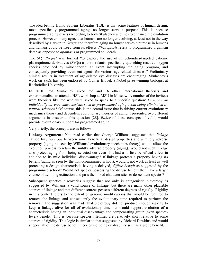The idea behind Homo Sapiens Liberatus (HSL) is that some features of human design, most specifically programmed aging, no longer serve a purpose. This is because programmed aging exists (according to both Skulachev and me) to enhance the evolution process. However, many agree that humans are no longer evolving, at least not in the way described by Darwin in *Origin* and therefore aging no longer serves a purpose in humans and humans could be freed from its effects. *Phenoptosis* refers to programmed organism death as opposed to *apoptosis* or programmed cell death.

The *SkQ Project* was formed "to explore the use of mitochondria-targeted cationic plastoquinone derivatives (SkQs) as antioxidants specifically quenching reactive oxygen species produced by mitochondria, an event interrupting the aging program, and consequently providing treatment agents for various age-related diseases." Preliminary clinical results in treatment of age-related eye diseases are encouraging. Skulachev's work on SkQs has been endorsed by Gunter Blobel, a Nobel prize-winning biologist at Rockefeller University.

In 2010 Prof. Skulachev asked me and 16 other international theorists and experimentalists to attend a HSL workshop at MSU in Moscow. A number of the invitees were theorists like me who were asked to speak to a specific question: *How can an individually adverse characteristic such as programmed aging avoid being eliminated by natural selection?* Of course, this is the central issue that is driving current evolutionary mechanics theory and dependent evolutionary theories of aging. I presented two different arguments in answer to this question [28]. *Either* of these concepts, if valid, would provide evolutionary support for programmed aging.

Very briefly, the concepts are as follows:

**Linkage Argument:** You read earlier that George Williams suggested that *linkage* caused by *pleiotropy* between some beneficial design properties and a mildly adverse property (aging as seen by Williams' evolutionary mechanics theory) would allow the evolution process to retain the mildly adverse property (aging). Would not such linkage also protect aging from being selected out even if it had a diffuse beneficial effect in addition to its mild individual disadvantage? If linkage protects a property having *no* benefit (aging as seen by the non-programmed school), would it not work at least as well protecting a design characteristic having a delayed, *diffuse benefit* as suggested by the programmed school? Would not species possessing the diffuse benefit then have a larger chance of avoiding extinction and pass the linked characteristics to descendent species?

Subsequent genetics discoveries suggest that not only is antagonistic pleiotropy as suggested by Williams a valid source of linkage, but there are many other plausible sources of linkage and that different sources possess different degrees of *rigidity*. Rigidity in this context refers to the extent of genome modifications that would be required to remove the linkage and consequently the evolutionary time required to perform the removal. The suggestion was made that pleiotropy did not produce enough rigidity to keep a linkage alive for all of evolutionary time but would support evolution of a characteristic having an individual disadvantage and compensating group (even specieslevel) benefit. This is because species lifetimes are relatively short relative to some sources of rigidity. This logic is similar to that suggested by Richard Dawkins and would support all of the diffuse benefit theories including evolvability seen as a group benefit.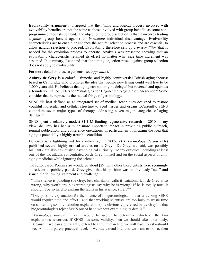**Evolvability Argument:** I argued that the *timing* and logical process involved with evolvability benefits are not the same as those involved with group benefits as some nonprogrammed theorists contend. The objection to group selection is that it involves trading a *future* group benefit against an *immediate* individual disadvantage. Evolvability characteristics act to enable or enhance the natural selection process and are essential to allow natural selection to proceed. Evolvability therefore sets up a *precondition* that is needed for the evolution process to operate. Analysis was presented showing that an evolvability characteristic retained its effect no matter what size time increment was assumed. In summary, I contend that the timing objection raised against group selection does not apply to evolvability.

For more detail on these arguments, see *Appendix II*.

**Aubrey de Grey** is a colorful, frenetic, and highly controversial British aging theorist based in Cambridge who promotes the idea that people now living could well live to be 1,000 years old. He believes that aging can not only be delayed but reversed and operates a foundation called SENS for "Strategies for Engineered Negligible Senescence." Some consider that he represents the radical fringe of gerontology.

SENS "is best defined as an integrated set of medical techniques designed to restore youthful molecular and cellular structure to aged tissues and organs…Currently, SENS comprises seven major types of therapy addressing seven major categories of aging damage."

SENS spent a relatively modest \$1.1 M funding regenerative research in 2010. In my view, de Grey has had a much more important impact in providing public outreach, journal publication, and conference operations, in particular in publicizing the idea that aging is potentially a highly treatable condition.

De Grey is a lightning rod for controversy. In 2005, *MIT Technology Review* (TR) published several highly critical articles on de Grey: "De Grey, we said, was possibly brilliant - but also obviously a psychological curiosity." Many critiques, including at least one of the TR attacks concentrated on de Grey himself and on the social aspects of antiaging medicine while ignoring the science.

TR editor Jason Pontin also wondered aloud [29] why other bioscientists were seemingly so reticent to publicly pan de Grey given that his position was so obviously "nuts" and issued the following statement and challenge:

"This silence is puzzling (de Grey, less charitably, [calls](http://www.nature.com/embor/journal/v6/n1s/full/7400399.html) it 'catatonia'). If de Grey is so wrong, why won't any biogerontologists say why he is wrong? If he is totally nuts, it shouldn't be so hard to explain the faults in his science, surely?"

"One possible explanation for the silence of biogerontologists is that criticizing SENS would require time and effort—and that working scientists are too busy to waste time on something so silly. Another explanation (one obviously preferred by de Grey) is that biogerontologists reject SENS out of hand without examining its details."

*"Technology Review* thinks it would be useful to determine which of the two explanations is correct. If SENS has some validity, then we should take it seriously. Because if we can significantly extend healthy human life, we will have to ask--should we? And at a purely practical level, if we *can* extend life, and we want to do so, then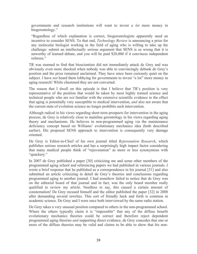governments and research institutions will want to invest *a lot* more money in biogerontology."

"Regardless of which explanation is correct, biogerontologists apparently need an incentive to consider SENS. To that end, *Technology Review* is announcing a prize for any molecular biologist working in the field of aging who is willing to take up the challenge: submit an intellectually serious argument that SENS is so wrong that it is unworthy of learned debate, and you will be paid \$20,000 if it convinces independent referees."

TR was stunned to find that bioscientists did not immediately attack de Grey and was obviously even more shocked when nobody was able to convincingly debunk de Grey's position and the prize remained unclaimed. They have since been curiously quiet on the subject. I have *not* heard them lobbying for governments to invest "a lot" more money in aging research! While chastened they are not converted.

The reason that I dwell on this episode is that I believe that TR's position is very representative of the position that would be taken by most highly trained science and technical people who are *not* familiar with the extensive scientific evidence to the effect that aging is potentially very susceptible to medical intervention, *and* also not aware that the current state of evolution science no longer prohibits such intervention.

Although radical in his views regarding short-term prospects for intervention in the aging process, de Grey is relatively close to mainline gerontology in his views regarding aging theory and mechanisms. He believes in non-programmed aging via the maintenance deficiency concept based on Williams' evolutionary mechanics idea (both described earlier). His proposed SENS approach to intervention is consequently very damage oriented.

De Grey is Editor-in-Chief of his own journal titled *Rejuvenation Research*, which publishes serious research articles and has a surprisingly high impact factor considering that many medical people think of "rejuvenation" as more or less synonymous with "quackery."

In 2007 de Grey published a paper [30] criticizing me and some other members of the programmed aging school and referencing papers we had published in various journals. I wrote a brief response that he published as a correspondence in his journal [31] and also submitted an article criticizing in detail de Grey's theories and conclusions regarding programmed aging to another journal. I had somehow failed to notice that de Grey was on the editorial board of that journal and in fact, was the only board member really qualified to review my article. Needless to say, this caused a certain amount of consternation! De Grey recused himself and the editor published the paper [32] in 2008 after demanding several rewrites. This sort of friendly back and forth is common in academic science. De Grey and I were once both interviewed by the same radio station.

De Grey takes a very unusual position compared to others in the non-programmed school. Where the others typically claim it is "impossible" that any of the diffuse benefit evolutionary mechanics theories could be correct and therefore reject dependent programmed aging theories *and* supporting direct evidence, de Grey concedes that one or more of the diffuse theories may be valid and claims to be able to show that his non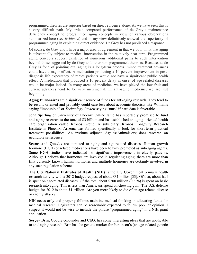programmed theories are superior based on direct evidence alone. As we have seen this is a very difficult path. My article compared performance of de Grey's maintenance deficiency concept to programmed aging concepts in view of various observations summarized here (see *Evidence*) and in my view definitively showed the superiority of programmed aging in explaining direct evidence. De Grey has not published a response.

Of course, de Grey and I have a major area of agreement in that we both think that aging is substantially subject to medical intervention in the relatively near term. Programmed aging concepts suggest existence of numerous additional paths to such intervention beyond those suggested by de Grey and other non-programmed theorists. Because, as de Grey is fond of pointing out, aging is a long-term process, minor treatment advances could have a major effect. A medication producing a 10 percent improvement in postdiagnosis life expectancy of rabies patients would not have a significant public health effect. A medication that produced a 10 percent delay in onset of age-related diseases would be major indeed. In many areas of medicine, we have picked the low fruit and current advances tend to be very incremental. In anti-aging medicine, we are just beginning.

**Aging Billionaires** are a significant source of funds for anti-aging research. They tend to be results-oriented and probably could care less about academic theorists like Williams saying "impossible" or *Technology Review* saying "nuts" if hard data is favorable.

John Sperling of University of Phoenix Online fame has reportedly promised to fund anti-aging research to the tune of \$3 billion and has established an aging-oriented health care organization called Kronos Group. A subsidiary, Kronos Longevity Research Institute in Phoenix, Arizona was formed specifically to look for short-term practical treatment possibilities. An institute adjunct, AgelessAnimals.org does research on negligible senescence.

**Scams and Quacks** are attracted to aging and age-related diseases. Human growth hormone (HGH) or related medications have been heavily promoted as anti-aging agents. Some HGH studies have indicated no significant improvement in elderly patients. Although I believe that hormones are involved in regulating aging, there are more than fifty currently known human hormones and multiple hormones are certainly involved in any such regulation scheme.

**The U.S. National Institutes of Health (NIH)** is the U.S Government primary health research activity with a 2012 budget request of about \$31 billion [33]. Of that, about half is spent on age-related diseases. Of the total about \$200 million (0.6 %) is spent on basic research into aging. This is less than Americans spend on chewing gum. The U.S. defense budget for 2012 is about \$1 trillion. Are you more likely to die of an age-related disease or enemy attack?

NIH necessarily and properly follows mainline medical thinking in allocating funds for medical research. Legislators can be reasonably expected to follow popular opinion. I suspect it would not be wise to include the phrase "programmed aging" in a NIH grant application.

**Sergey Brin**, Google cofounder and CEO, has some interesting ideas that are applicable to anti-aging research. Brin has the genetic marker for Parkinson's (an age-related genetic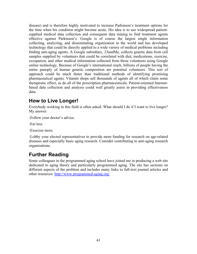<span id="page-40-0"></span>disease) and is therefore highly motivated to increase Parkinson's treatment options for the time when his condition might become acute. His idea is to use widespread patientsupplied medical data collection and consequent data mining to find treatment agents effective against Parkinson's. Google is of course the largest single information collecting, analyzing, and disseminating organization in the world and has developed technology that could be directly applied to a wide variety of medical problems including finding anti-aging agents. A Google subsidiary, 23andMe, collects genetic data from cell samples supplied by volunteers that could be correlated with diet, medications, exercise, occupation, and other medical information collected from those volunteers using Google online technology. Because of Google's international reach, billions of people having the entire panoply of human genetic composition are potential volunteers. This sort of approach could be much faster than traditional methods of identifying promising pharmaceutical agents. Vitamin shops sell thousands of agents all of which claim some therapeutic effect, as do all of the prescription pharmaceuticals. Patient-oriented Internetbased data collection and analysis could well greatly assist in providing effectiveness data.

## **How to Live Longer!**

Everybody working in this field is often asked: What should I do if I want to live longer? My answer:

-Follow your doctor's advice.

-Eat less.

-Exercise more.

-Lobby your elected representatives to provide more funding for research on age-related diseases and especially basic aging research. Consider contributing to anti-aging research organizations.

## **Further Reading**

Some colleagues in the programmed aging school have joined me in producing a web site dedicated to aging theory and particularly programmed aging. The site has sections on different aspects of the problem and includes many links to full-text journal articles and other resources:<http://www.programmed-aging.org/>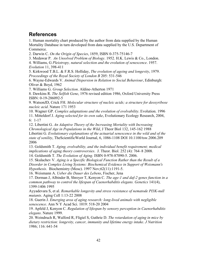## <span id="page-41-0"></span>**References**

1. Human mortality chart produced by the author from data supplied by the Human Mortality Database in turn developed from data supplied by the U.S. Department of Commerce.

2. Darwin C. *On the Origin of Species*, 1859, ISBN 0-375-75146-7

3. Medawar P. *An Unsolved Problem of Biology*. 1952. H.K. Lewis & Co., London.

4. Williams, G *Pleiotropy, natural selection and the evolution of senescence*. 1957. *Evolution* 11, 398-411

5. Kirkwood T.B.L. & F.R.S. Holliday, *The evolution of ageing and longevity*, 1979. *Proceedings of the Royal Society of London B* 205: 531-546

6. Wayne-Edwards V. *Animal Dispersion in Relation to Social Behaviour*, Edinburgh: Oliver & Boyd, 1962

7. Williams G. *Group Selection*. Aldine-Atherton 1971

8. Dawkins R. *The Selfish Gene*, 1976 revised edition 1986, Oxford University Press ISBN: 0-19-286092-5

9. WatsonJD, Crick FH. *Molecular structure of nucleic acids; a structure for deoxyribose nucleic acid*. Nature 171 1953

10. Wagner GP. *Complex adaptations and the evolution of evolvability*. Evolution. 1996

11. Mitteldorf J. *Aging selected for its own sake*, Evolutionary Ecology Research, 2004, 6: 1-17

12. Libertini G. *An Adaptive Theory of the Increasing Mortality with Increasing Chronological Age in Populations in the Wild*, J Theor Biol 132, 145-162 1988 Libertini G. *Evolutionary explanations of the actuarial senescence in the wild and of the state of senility*, TheScientificWorld Journal, 6, 1086-1108 DOI 10.1100/tsw.2006.209 2006

13. Goldsmith T. *Aging, evolvability, and the individual benefit requirement; medical implications of aging theory controversies*. J. Theor. Biol. 252 (4): 764–8 2008.

14. Goldsmith T. *The Evolution of Aging*. ISBN 0-978-87090-5. 2006.

15. Skulachev V. *Aging is a Specific Biological Function Rather than the Result of a Disorder in Complex Living Systems: Biochemical Evidence in Support of Weismann's Hypothesis*. Biochemistry (Mosc). 1997 Nov;62(11):1191-5.

16. Weismann A. *Ueber die Dauer des Lebens*, Fischer, Jena

17. Dorman J, Albinder B, Shroyer T, Kenyon C. *The age-1 and daf-2 genes function in a common pathway to control the lifespan of Caenorhabditis elegans. Genetics* 141(4), 1399-1406 1995

Ayyadevara S, et al. *Remarkable longevity and stress resistance of nematode PI3K-null mutants*. Aging Cell 1:13-22 2008

18. Guerin J. *Emerging area of aging research: long-lived animals with negligible senescence*. Ann N Y Acad Sci. 1019: 518-20 2004

19. Apfeld J, Kenyon C. *Regulation of lifespan by sensory perception in Caenorhabditis elegans*. Nature 1999.

20. Weindruch R, Walford R, Fligiel S, Guthrie D. *The retardation of aging in mice by dietary restriction: longevity, cancer, immunity and lifetime energy intake*. *J Nutrition* 1986; 116: 641-54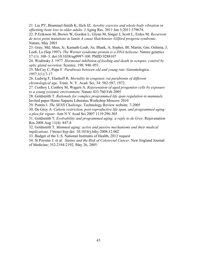21. Liu PY, Brummel-Smith K, Ilich JZ. *Aerobic exercise and whole-body vibration in offsetting bone loss in older adults.* J Aging Res. 2011 Jan 3;2011:379674.

22. P Eriksson M, Brown W, Gordon L, Glynn M, Singer J, Scott L, Erdos M. *Recurrent de novo point mutations in lamin A cause Hutchinson–Gilford progeria syndrome*. Nature, May 2003

23. Gray, Md; Shen, Jc; Kamath-Loeb, As; Blank, A; Sopher, Bl; Martin, Gm; Oshima, J; Loeb, La (Sep 1997). *The Werner syndrome protein is a DNA helicase.* Nature genetics 17 (1): 100–3. doi:10.1038/ng0997-100. PMID 9288107

24. Wodinsky J. 1977*. Hormonal inhibition of feeding and death in octopus: control by optic gland secretion*. Science, 198: 948–951.

25. McCay C, Pope F. *Parabiosis between old and young rats*. Gerontologica. 1957;1(1):7-17.

26. Ludwig F, Elashoff R. *Mortality* in *syngeneic rat parabionts of different chronological age*. Trans. N. Y. Acad. Sci, 34: 582-587, 1972.

27. Conboy I, Conboy M, Wagers A. *Rejuvenation of aged progenitor cells by exposure to a young systemic environment*. Nature 433:760 Feb 2005

28. Goldsmith T. *Rationale for complex programmed life span regulation in mammals*. Invited paper Homo Sapiens Liberatus Workshop Moscow 2010

29. Pontin J. *The SENS Challenge*. Technology Review website. 7-2005

30. De Grey A. *Calorie restriction, post-reproductive life span, and programmed aging: a plea for rigour*. Ann N Y Acad Sci 2007 1119:296-305

31. Goldsmith T. *Evolvability and programmed aging: a reply to de Grey*. Rejuvenation Res 2008 Aug 11(4): 847-8

32. Goldsmith T. *Mammal aging: active and passive mechanisms and their medical implications*. J biosci hyp doi: 10.1016/j.bihy.2008.12.002

33. Budget of the U.S. National Institutes of Health, 2012 request

34. St Poynter J. et al. *Statins and the Risk of Colorectal Cancer*. New England Journal of Medicine; 352:2184-2192, May 26, 2005.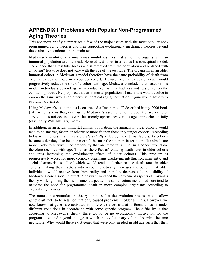## <span id="page-43-0"></span>**APPENDIX I Problems with Popular Non-Programmed Aging Theories**

This appendix briefly summarizes a few of the major issues with the most popular nonprogrammed aging theories and their supporting evolutionary mechanics theories beyond those already mentioned in the main text.

**Medawar's evolutionary mechanics model** assumes that all of the organisms in an immortal population are identical. He used test tubes in a lab as his conceptual model. The chance that a test tube breaks and is removed from the population and replaced with a "young" test tube does not vary with the age of the test tube. The organisms in an older immortal cohort in Medawar's model therefore have the same probability of death from external causes as those in a younger cohort. Because external causes of death would progressively reduce the size of a cohort with age, Medawar concluded that based on his model, individuals beyond age of reproductive maturity had less and less effect on the evolution process. He proposed that an immortal population of mammals would evolve in *exactly* the same way as an otherwise identical aging population. Aging would have zero evolutionary effect.

Using Medawar's assumptions I constructed a "math model" described in my 2006 book [14], which shows that, even using Medawar's assumptions, the evolutionary value of survival does not decline to zero but merely approaches zero as age approaches infinity (essentially Williams' argument).

In addition, in an actual immortal animal population, the animals in older cohorts would tend to be smarter, faster, or otherwise more fit than those in younger cohorts. According to Darwin, the less fit animals are *preferentially* killed by the external factors. As cohorts became older they also become more fit because the smarter, faster, more fit animals are more likely to survive. The probability that an immortal animal in a cohort would die therefore declines with age. This has the effect of reducing death rates in older cohorts and thus increasing the evolutionary effect of older cohorts. This problem is progressively worse for more complex organisms displaying intelligence, immunity, and social characteristics, all of which would tend to further reduce death rates in older cohorts. Taking these factors into account drastically increases the benefit that older individuals would receive from immortality and therefore decreases the plausibility of Medawar's conclusion. In effect, Medawar embraced the convenient aspects of Darwin's theory while ignoring the inconvenient aspects. The same factors mentioned here tend to *increase* the need for programmed death in more complex organisms according to evolvability theories!

The **mutation accumulation theory** assumes that the evolution process would allow genetic artifacts to be retained that only caused problems in older animals. However, we now know that genes are activated in different tissues and at different times or under different conditions in accordance with some genetic program. The difficulty is that according to Medawar's theory there would be no evolutionary motivation for the program to extend beyond the age at which the evolutionary value of survival became negligible. Why would there exist genes that were only needed in old age such that their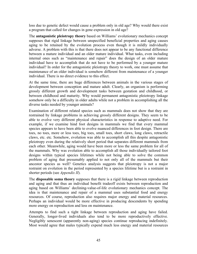loss due to genetic defect would cause a problem only in old age? Why would there exist a program that called for changes in gene expression in old age?

The **antagonistic pleiotropy theory** based on Williams' evolutionary mechanics concept supposes that rigid linkage between unspecified beneficial properties and aging causes aging to be retained by the evolution process even though it is mildly individually adverse. A problem with this is that there does not appear to be any functional difference between a mature individual and an older mature individual. What tasks, even including internal ones such as "maintenance and repair" does the design of an older mature individual have to accomplish that do not have to be performed by a younger mature individual? In order for the antagonistic pleiotropy theory to work, one must assume that maintenance of an older individual is somehow different from maintenance of a younger individual. There is no direct evidence to this effect.

At the same time, there are huge differences between animals in the various stages of development between conception and mature adult. Clearly, an organism is performing grossly different growth and development tasks between gestation and childhood, or between childhood and maturity. Why would permanent antagonistic pleiotropy linkage somehow only be a difficulty in older adults while not a problem in accomplishing all the diverse tasks needed by younger animals?

Examination of different related species such as mammals does not show that they are restrained by linkage problems in achieving grossly different designs. They seem to be able to evolve very different physical characteristics in response to adaptive need. For example, if we examine hind foot designs in mammals we find that every mammal species appears to have been able to evolve nuanced differences in foot design. There are toes, no toes, more or less toes, big toes, small toes, short claws, long claws, retractile claws, etc. etc. Somehow, evolution was able to accomplish all this despite antagonistic pleiotropy even during the relatively short period that separates different mammals from each other. Meanwhile, aging would have been more or less the same problem for all of the mammals. Why was evolution able to accomplish all those individually tailored foot designs within typical species lifetimes while not being able to solve the common problem of aging that presumably applied to not only all of the mammals but their ancestor species as well? Genetics analysis suggests that pleiotropy is not a major restraint on evolution in the period represented by a species lifetime but is a restraint in shorter periods (see *Appendix II*).

The **disposable soma theory** supposes that there is a rigid linkage between reproduction and aging and that thus an individual benefit tradeoff exists between reproduction and aging based on Williams' declining-value-of-life evolutionary mechanics concept. The idea is that maintenance and repair of a mammal uses substantial food and energy resources. Of course, reproduction also requires major energy and material resources. Perhaps an individual would be more effective in producing descendents by spending more energy on reproduction and less on maintenance.

Attempts to find such a tight linkage between reproduction and aging have failed. Generally, longer-lived individuals also tend to be more reproductively effective. Negligibly senescent (apparently non-aging) species continue reproducing indefinitely. Most would agree that males typically expend much less energy and material resources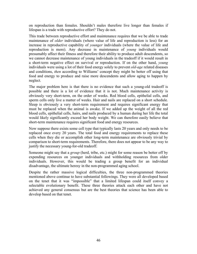on reproduction than females. Shouldn't males therefore live longer than females if lifespan is a trade with reproductive effort? They do not.

This trade between reproductive effort and maintenance requires that we be able to trade maintenance of *older* individuals (where value of life and reproduction is less) for an increase in reproductive capability of *younger* individuals (where the value of life and reproduction is more). Any decrease in maintenance of *young* individuals would presumably affect their fitness and therefore their ability to produce adult descendents, so we cannot decrease maintenance of young individuals in the tradeoff if it would result in a short-term negative effect on survival or reproduction. If on the other hand, *young* individuals were using a lot of their food energy solely to prevent *old-age* related diseases and conditions, *then* according to Williams' concept they might be better off using that food and energy to produce and raise more descendents and allow aging to happen by neglect.

The major problem here is that there is no evidence that such a young-old tradeoff is possible and there is a lot of evidence that it is not. Much maintenance activity is obviously very short-term, on the order of weeks. Red blood cells, epithelial cells, and sperm cells only live a matter of weeks. Hair and nails are replaced on a short schedule. Sleep is obviously a very short-term requirement and requires significant energy that must be replaced when the animal is awake. If we added up the weight of all the red blood cells, epithelial cells, hairs, and nails produced by a human during her life the total would likely significantly exceed her body weight. We can therefore easily believe that short-term maintenance requires significant food and energy resources.

Now suppose there exists some cell type that typically lasts 20 years and only needs to be replaced once every 20 years. The total food and energy requirements to replace these cells when they die or accomplish other long-term maintenance are obviously trivial by comparison to short-term requirements. Therefore, there does not appear to be any way to justify the necessary young-for-old tradeoff.

Someone might say that a *group* (herd, tribe, etc.) might for some reason be better off by expending resources on younger individuals and withholding resources from older individuals. However, this would be trading a group benefit for an individual disadvantage, the ultimate heresy in the non-programmed aging school.

Despite the rather massive logical difficulties, the three non-programmed theories mentioned above continue to have substantial followings. They were all developed based on the tenet that it was "impossible" that a limited lifespan could itself convey a selectable evolutionary benefit. These three theories attack each other and have not achieved any general consensus but are the best theories that science has been able to develop based on that tenet.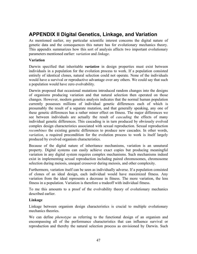## <span id="page-46-0"></span>**APPENDIX II Digital Genetics, Linkage, and Variation**

As mentioned earlier, my particular scientific interest concerns the digital nature of genetic data and the consequences this nature has for evolutionary mechanics theory. This appendix summarizes how this sort of analysis affects two important evolutionary parameters mentioned earlier: *variation* and *linkage*.

### **Variation**

Darwin specified that inheritable *variation* in design properties must exist between individuals in a population for the evolution process to work. If a population consisted entirely of identical clones, natural selection could not operate. None of the individuals would have a survival or reproductive advantage over any others. We could say that such a population would have zero evolvability.

Darwin proposed that occasional mutations introduced random changes into the designs of organisms producing variation and that natural selection then operated on those changes. However, modern genetics analysis indicates that the normal human population currently possesses millions of individual genetic differences each of which is presumably the result of a separate mutation, and that generally speaking, any one of these genetic differences has a rather minor effect on fitness. The major differences we see between individuals are actually the result of *cascading* the effects of many individual genetic differences. This cascading is in turn produced by obviously evolved complex design characteristics associated with sexual reproduction. Sexual reproduction *recombines* the existing genetic differences to produce new cascades. In other words, *variation*, a required precondition for the evolution process to work is itself largely produced by evolved organism characteristics.

Because of the digital nature of inheritance mechanisms, variation is an unnatural property. Digital systems can easily achieve exact copies but producing meaningful variation in any digital system requires complex mechanisms. Such mechanisms indeed exist in implementing sexual reproduction including paired chromosomes, chromosome selection during meiosis, unequal crossover during meiosis, and other complexity.

Furthermore, variation itself can be seen as individually adverse. If a population consisted of clones of an ideal design, each individual would have maximized fitness. Any variation from the ideal represents a decrease in fitness. The more variation, the less fitness in a population. Variation is therefore a tradeoff with individual fitness.

To me this amounts to a proof of the evolvability theory of evolutionary mechanics described earlier.

### **Linkage**

Linkage between organism design characteristics is crucial to multiple evolutionary mechanics theories.

We can define *phenotype* as referring to the functional design of an organism and encompassing all of the performance characteristics that can influence survival or reproduction and thereby the natural selection process as envisioned by Darwin. Such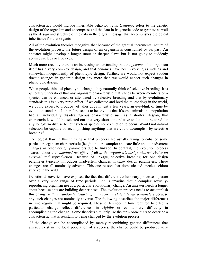characteristics would include inheritable behavior traits. *Genotype* refers to the genetic design of the organism and encompasses all the data in its genetic code or *genome* as well as the design and structure of the data in the digital message that accomplishes biological inheritance for that organism.

All of the evolution theories recognize that because of the gradual incremental nature of the evolution process, the future design of an organism is constrained by its past. An anteater might develop a longer snout or sharper claws but is not going to suddenly acquire six legs or five eyes.

Much more recently there is an increasing understanding that the *genome* of an organism itself has a very complex design, and that genomes have been evolving as well as and somewhat independently of phenotypic design. Further, we would not expect sudden drastic changes in genomic design any more than we would expect such changes in phenotypic design.

When people think of phenotypic change, they naturally think of selective breeding. It is generally understood that any organism characteristic that varies between members of a species can be enhanced or attenuated by selective breeding and that by evolutionary standards this is a very rapid effect. If we collected and bred the tallest dogs in the world, we could expect to produce yet taller dogs in just a few years, an eye-blink of time by evolution standards. It therefore seems to be obvious that if some animals in a population had an individually disadvantageous characteristic such as a shorter lifespan, that characteristic would be selected out in a very short time relative to the time required for any long-term diffuse benefit such as species non-extinction to occur. Would not natural selection be capable of accomplishing anything that we could accomplish by selective breeding?

The logical flaw in this thinking is that breeders are usually trying to enhance some particular organism characteristic (height in our example) and care little about inadvertent changes in other design parameters due to linkage. In contrast, the evolution process "cares" about the *combined net effect of all of the organism's design characteristics on survival and reproduction*. Because of linkage, selective breeding for one design parameter typically introduces inadvertent changes in *other* design parameters. These changes are all nominally adverse. This one reason that domesticated species seldom survive in the wild.

Genetics discoveries have exposed the fact that different evolutionary processes operate over a very wide range of time periods. Let us imagine that a complex sexuallyreproducing organism needs a particular evolutionary change. An anteater needs a longer snout because ants are building deeper nests. The evolution process needs to accomplish this change *without randomly disturbing any other unrelated design parameters* because any such changes are nominally adverse. The following describes the major differences in time regime that might be required. These differences in time required to effect a particular change reflect differences in *rigidity* or evolutionary difficulty in accomplishing the change. Some theorists similarly use the term *robustness* to describe a characteristic that is resistant to being changed by the evolution process.

-If the change can be accomplished by merely recombining genetic differences that already exist in the local population of a species, the change could be produced very